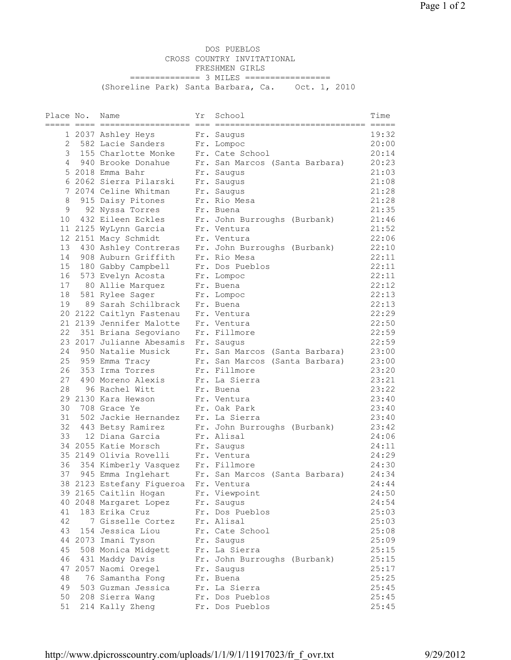DOS PUEBLOS CROSS COUNTRY INVITATIONAL FRESHMEN GIRLS =============== 3 MILES ================= (Shoreline Park) Santa Barbara, Ca. Oct. 1, 2010

| Place No. | Name                                                 | Υr | School                                               | Time  |
|-----------|------------------------------------------------------|----|------------------------------------------------------|-------|
|           |                                                      |    |                                                      |       |
|           | 1 2037 Ashley Heys                                   |    | Fr. Saugus                                           | 19:32 |
| 2         | 582 Lacie Sanders                                    |    | Fr. Lompoc                                           | 20:00 |
| 3         | 155 Charlotte Monke                                  |    | Fr. Cate School                                      | 20:14 |
|           | 4 940 Brooke Donahue                                 |    | Fr. San Marcos (Santa Barbara)                       | 20:23 |
|           | 5 2018 Emma Bahr                                     |    | Fr. Saugus                                           | 21:03 |
|           | 6 2062 Sierra Pilarski                               |    | Fr. Saugus                                           | 21:08 |
|           | 7 2074 Celine Whitman                                |    | Fr. Saugus                                           | 21:28 |
| 8         | 915 Daisy Pitones                                    |    | Fr. Rio Mesa                                         | 21:28 |
| 9         | 92 Nyssa Torres                                      |    | Fr. Buena                                            | 21:35 |
| 10        | 432 Eileen Eckles                                    |    | Fr. John Burroughs (Burbank)                         | 21:46 |
|           | 11 2125 WyLynn Garcia                                |    | Fr. Ventura                                          | 21:52 |
|           | 12 2151 Macy Schmidt                                 |    | Fr. Ventura                                          | 22:06 |
|           |                                                      |    | 13 430 Ashley Contreras Fr. John Burroughs (Burbank) | 22:10 |
|           | 14 908 Auburn Griffith                               |    | Fr. Rio Mesa                                         | 22:11 |
| 15        | 180 Gabby Campbell                                   |    | Fr. Dos Pueblos                                      | 22:11 |
| 16        | 573 Evelyn Acosta                                    |    | Fr. Lompoc                                           | 22:11 |
| 17        | 80 Allie Marquez                                     |    | Fr. Buena                                            | 22:12 |
| 18        | 581 Rylee Sager                                      |    | Fr. Lompoc                                           | 22:13 |
| 19        | 89 Sarah Schilbrack                                  |    | Fr. Buena                                            | 22:13 |
|           |                                                      |    | Fr. Ventura                                          | 22:29 |
|           | 20 2122 Caitlyn Fastenau<br>21 2139 Jennifer Malotte |    |                                                      |       |
|           |                                                      |    | Fr. Ventura                                          | 22:50 |
|           | 22 351 Briana Segoviano                              |    | Fr. Fillmore                                         | 22:59 |
|           | 23 2017 Julianne Abesamis Fr. Saugus                 |    |                                                      | 22:59 |
|           | 24 950 Natalie Musick                                |    | Fr. San Marcos (Santa Barbara)                       | 23:00 |
|           | 25 959 Emma Tracy                                    |    | Fr. San Marcos (Santa Barbara)                       | 23:00 |
| 26        | 353 Irma Torres                                      |    | Fr. Fillmore                                         | 23:20 |
| 27        | 490 Moreno Alexis                                    |    | Fr. La Sierra                                        | 23:21 |
| 28        | 96 Rachel Witt                                       |    | Fr. Buena                                            | 23:22 |
|           | 29 2130 Kara Hewson                                  |    | Fr. Ventura                                          | 23:40 |
| 30        | 708 Grace Ye                                         |    | Fr. Oak Park                                         | 23:40 |
| 31        | 502 Jackie Hernandez                                 |    | Fr. La Sierra                                        | 23:40 |
|           | 32 443 Betsy Ramirez                                 |    | Fr. John Burroughs (Burbank)                         | 23:42 |
|           | 33 12 Diana Garcia                                   |    | Fr. Alisal                                           | 24:06 |
|           | 34 2055 Katie Morsch                                 |    | Fr. Saugus                                           | 24:11 |
|           | 35 2149 Olivia Rovelli                               |    | Fr. Ventura                                          | 24:29 |
|           | 36 354 Kimberly Vasquez Fr. Fillmore                 |    |                                                      | 24:30 |
|           | 37 945 Emma Inglehart                                |    | Fr. San Marcos (Santa Barbara)                       | 24:34 |
|           | 38 2123 Estefany Fiqueroa Fr. Ventura                |    |                                                      | 24:44 |
|           | 39 2165 Caitlin Hogan                                |    | Fr. Viewpoint                                        | 24:50 |
|           | 40 2048 Margaret Lopez                               |    | Fr. Saugus                                           | 24:54 |
| 41        | 183 Erika Cruz                                       |    | Fr. Dos Pueblos                                      | 25:03 |
| 42        | 7 Gisselle Cortez                                    |    | Fr. Alisal                                           | 25:03 |
| 43        | 154 Jessica Liou                                     |    | Fr. Cate School                                      | 25:08 |
|           | 44 2073 Imani Tyson                                  |    | Fr. Saugus                                           | 25:09 |
| 45        | 508 Monica Midgett                                   |    | Fr. La Sierra                                        | 25:15 |
| 46        | 431 Maddy Davis                                      |    | Fr. John Burroughs (Burbank)                         | 25:15 |
|           | 47 2057 Naomi Oregel                                 |    | Fr. Saugus                                           | 25:17 |
| 48        | 76 Samantha Fong                                     |    | Fr. Buena                                            | 25:25 |
| 49        | 503 Guzman Jessica                                   |    | Fr. La Sierra                                        | 25:45 |
| 50        | 208 Sierra Wang                                      |    | Fr. Dos Pueblos                                      | 25:45 |
| 51        | 214 Kally Zheng                                      |    | Fr. Dos Pueblos                                      | 25:45 |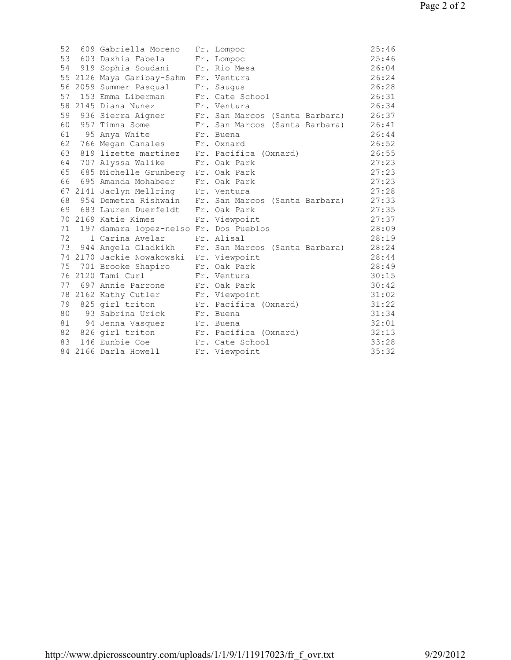| 52 | 609 Gabriella Moreno                       | Fr. Lompoc                                          | 25:46 |
|----|--------------------------------------------|-----------------------------------------------------|-------|
|    | 53 603 Daxhia Fabela                       | Fr. Lompoc                                          | 25:46 |
|    | 54 919 Sophia Soudani Fr. Rio Mesa         |                                                     | 26:04 |
|    | 55 2126 Maya Garibay-Sahm Fr. Ventura      |                                                     | 26:24 |
|    | 56 2059 Summer Pasqual Fr. Saugus          |                                                     | 26:28 |
| 57 | 153 Emma Liberman Fr. Cate School          |                                                     | 26:31 |
|    | 58 2145 Diana Nunez                        | Fr. Ventura                                         | 26:34 |
|    |                                            | 59 936 Sierra Aigner Fr. San Marcos (Santa Barbara) | 26:37 |
|    | 60 957 Timna Some                          | Fr. San Marcos (Santa Barbara)                      | 26:41 |
|    | 61 95 Anya White Fr. Buena                 |                                                     | 26:44 |
|    | 62 766 Megan Canales Fr. Oxnard            |                                                     | 26:52 |
| 63 | 819 lizette martinez Fr. Pacifica (Oxnard) |                                                     | 26:55 |
|    | 64 707 Alyssa Walike                       | Fr. Oak Park                                        | 27:23 |
| 65 | 685 Michelle Grunberg Fr. Oak Park         |                                                     | 27:23 |
|    | 66 695 Amanda Mohabeer Fr. Oak Park        |                                                     | 27:23 |
|    | 67 2141 Jaclyn Mellring Fr. Ventura        |                                                     | 27:28 |
| 68 |                                            | 954 Demetra Rishwain Fr. San Marcos (Santa Barbara) | 27:33 |
|    | 69 683 Lauren Duerfeldt Fr. Oak Park       |                                                     | 27:35 |
|    | 70 2169 Katie Kimes                        | Fr. Viewpoint                                       | 27:37 |
|    | 71 197 damara lopez-nelso Fr. Dos Pueblos  |                                                     | 28:09 |
| 72 | 1 Carina Avelar                            | Fr. Alisal                                          | 28:19 |
| 73 |                                            | 944 Angela Gladkikh Fr. San Marcos (Santa Barbara)  | 28:24 |
|    | 74 2170 Jackie Nowakowski Fr. Viewpoint    |                                                     | 28:44 |
| 75 | 701 Brooke Shapiro Fr. Oak Park            |                                                     | 28:49 |
|    | 76 2120 Tami Curl                          | Fr. Ventura                                         | 30:15 |
|    | 77 697 Annie Parrone                       | Fr. Oak Park                                        | 30:42 |
|    | 78 2162 Kathy Cutler Fr. Viewpoint         |                                                     | 31:02 |
| 79 | 825 girl triton                            | Fr. Pacifica (Oxnard)                               | 31:22 |
| 80 | 93 Sabrina Urick - Fr. Buena               |                                                     | 31:34 |
|    | 81 94 Jenna Vasquez Fr. Buena              |                                                     | 32:01 |
|    | 82 826 girl triton Fr. Pacifica (Oxnard)   |                                                     | 32:13 |
| 83 | 146 Eunbie Coe Fr. Cate School             |                                                     | 33:28 |
|    | 84 2166 Darla Howell                       | Fr. Viewpoint                                       | 35:32 |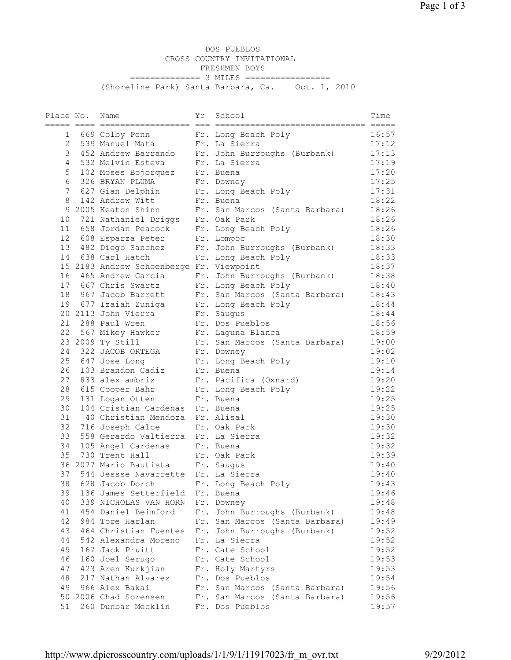DOS PUEBLOS CROSS COUNTRY INVITATIONAL FRESHMEN BOYS ================ 3 MILES ================= (Shoreline Park) Santa Barbara, Ca. Oct. 1, 2010

| Place No.       | Name                                     | Υr | School                                                      | Time  |
|-----------------|------------------------------------------|----|-------------------------------------------------------------|-------|
|                 |                                          |    |                                                             |       |
| $\mathbf 1$     | 669 Colby Penn Fr. Long Beach Poly       |    |                                                             | 16:57 |
| 2               | 539 Manuel Mata                          |    | Fr. La Sierra                                               | 17:12 |
| 3               | 452 Andrew Barrando                      |    | Fr. John Burroughs (Burbank)                                | 17:13 |
| 4               | 532 Melvin Esteva                        |    | Fr. La Sierra                                               | 17:19 |
| 5               | 102 Moses Bojorquez                      |    | Fr. Buena                                                   | 17:20 |
| 6               | 326 BRYAN PLUMA                          |    | Fr. Downey                                                  | 17:25 |
| 7               | 627 Gian Delphin                         |    |                                                             | 17:31 |
| 8               | 142 Andrew Witt                          |    | Fr. Downey<br>Fr. Long Beach Poly<br>Fr. Buena<br>Fr. Buena | 18:22 |
|                 | 9 2005 Keaton Shinn                      |    | Fr. San Marcos (Santa Barbara)                              | 18:26 |
|                 | 10 721 Nathaniel Driggs Fr. Oak Park     |    |                                                             | 18:26 |
|                 | 11 658 Jordan Peacock                    |    | Fr. Long Beach Poly                                         | 18:26 |
|                 |                                          |    |                                                             |       |
| 12 <sup>°</sup> | 608 Esparza Peter                        |    | Fr. Lompoc                                                  | 18:30 |
|                 | 13 482 Diego Sanchez                     |    | Fr. John Burroughs (Burbank)                                | 18:33 |
|                 | 14 638 Carl Hatch                        |    | Fr. Long Beach Poly                                         | 18:33 |
|                 | 15 2183 Andrew Schoenberge Fr. Viewpoint |    |                                                             | 18:37 |
|                 | 16 465 Andrew Garcia                     |    | Fr. John Burroughs (Burbank)                                | 18:38 |
|                 | 17 667 Chris Swartz                      |    | Fr. Long Beach Poly                                         | 18:40 |
|                 | 18 967 Jacob Barrett                     |    | Fr. San Marcos (Santa Barbara)                              | 18:43 |
|                 | 19 677 Izaiah Zuniga Fr. Long Beach Poly |    |                                                             | 18:44 |
|                 | 20 2113 John Vierra                      |    | Fr. Saugus                                                  | 18:44 |
|                 | 21 288 Paul Wren                         |    | Fr. Dos Pueblos                                             | 18:56 |
|                 | 22 567 Mikey Hawker Fr. Laguna Blanca    |    |                                                             | 18:59 |
|                 | 23 2009 Ty Still                         |    | Fr. San Marcos (Santa Barbara)                              | 19:00 |
|                 | 24 322 JACOB ORTEGA                      |    | Fr. Downey                                                  | 19:02 |
|                 | 25 647 Jose Long                         |    | Fr. Long Beach Poly                                         | 19:10 |
| 26              | 103 Brandon Cadiz                        |    | Fr. Buena                                                   | 19:14 |
| 27              | 833 alex ambriz                          |    | Fr. Pacifica (Oxnard)                                       | 19:20 |
| 28              | 615 Cooper Bahr                          |    | Fr. Long Beach Poly                                         | 19:22 |
| 29              | 131 Logan Otten                          |    | Fr. Buena                                                   | 19:25 |
| 30              | 104 Cristian Cardenas Fr. Buena          |    |                                                             | 19:25 |
| 31              | 40 Christian Mendoza                     |    | Fr. Alisal                                                  | 19:30 |
|                 | 32 716 Joseph Calce                      |    | Fr. Oak Park                                                | 19:30 |
| 33              | 558 Gerardo Valtierra Fr. La Sierra      |    |                                                             | 19:32 |
| 34              | 105 Angel Cardenas                       |    | Fr. Buena                                                   | 19:32 |
| 35              | 730 Trent Hall                           |    | Fr. Oak Park                                                | 19:39 |
|                 | 36 2077 Mario Bautista                   |    | Fr. Saugus                                                  | 19:40 |
| 37              | 544 Jessse Navarrette Fr. La Sierra      |    |                                                             | 19:40 |
|                 |                                          |    |                                                             | 19:43 |
|                 | 38 628 Jacob Dorch Fr. Long Beach Poly   |    |                                                             |       |
| 39              | 136 James Setterfield Fr. Buena          |    |                                                             | 19:46 |
| 40              | 339 NICHOLAS VAN HORN Fr. Downey         |    |                                                             | 19:48 |
| 41              | 454 Daniel Beimford                      |    | Fr. John Burroughs (Burbank)                                | 19:48 |
| 42              | 984 Tore Harlan                          |    | Fr. San Marcos (Santa Barbara)                              | 19:49 |
| 43              |                                          |    | 464 Christian Fuentes Fr. John Burroughs (Burbank)          | 19:52 |
| 44              | 542 Alexandra Moreno                     |    | Fr. La Sierra                                               | 19:52 |
| 45              | 167 Jack Pruitt                          |    | Fr. Cate School                                             | 19:52 |
| 46              | 160 Joel Serugo                          |    | Fr. Cate School                                             | 19:53 |
| 47              | 423 Aren Kurkjian                        |    | Fr. Holy Martyrs                                            | 19:53 |
| 48              | 217 Nathan Alvarez                       |    | Fr. Dos Pueblos                                             | 19:54 |
| 49              | 966 Alex Bakai                           |    | Fr. San Marcos (Santa Barbara)                              | 19:56 |
|                 | 50 2006 Chad Sorensen                    |    | Fr. San Marcos (Santa Barbara)                              | 19:56 |
| 51              | 260 Dunbar Mecklin                       |    | Fr. Dos Pueblos                                             | 19:57 |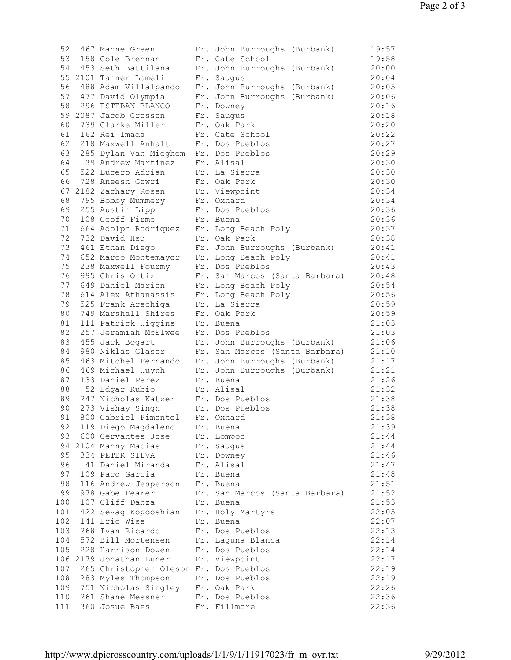| 52  | 467 Manne Green                             | Fr. John Burroughs (Burbank)                      | 19:57 |
|-----|---------------------------------------------|---------------------------------------------------|-------|
| 53  | 158 Cole Brennan                            | Fr. Cate School                                   | 19:58 |
|     | 54 453 Seth Battilana                       | Fr. John Burroughs (Burbank)                      | 20:00 |
|     | 55 2101 Tanner Lomeli                       | Fr. Saugus                                        | 20:04 |
| 56  |                                             | 488 Adam Villalpando Fr. John Burroughs (Burbank) | 20:05 |
|     | 57 477 David Olympia                        | Fr. John Burroughs (Burbank)                      | 20:06 |
| 58  | 296 ESTEBAN BLANCO                          | Fr. Downey                                        | 20:16 |
|     | 59 2087 Jacob Crosson                       | Fr. Saugus                                        | 20:18 |
| 60  | 739 Clarke Miller                           | Fr. Oak Park                                      | 20:20 |
| 61  | 162 Rei Imada                               | Fr. Cate School                                   | 20:22 |
|     | 62 218 Maxwell Anhalt                       | Fr. Dos Pueblos                                   | 20:27 |
| 63  | 285 Dylan Van Mieghem Fr. Dos Pueblos       |                                                   | 20:29 |
| 64  | 39 Andrew Martinez                          | Fr. Alisal                                        | 20:30 |
| 65  | 522 Lucero Adrian                           | Fr. La Sierra                                     | 20:30 |
| 66  | 728 Aneesh Gowri                            | Fr. Oak Park                                      | 20:30 |
|     | 67 2182 Zachary Rosen                       | Fr. Viewpoint                                     | 20:34 |
| 68  | 795 Bobby Mummery                           | Fr. Oxnard                                        | 20:34 |
| 69  | 255 Austin Lipp                             | Fr. Dos Pueblos                                   | 20:36 |
| 70  | 108 Geoff Firme                             | Fr. Buena                                         | 20:36 |
|     | 71 664 Adolph Rodriquez Fr. Long Beach Poly |                                                   | 20:37 |
| 72  | 732 David Hsu                               | Fr. Oak Park                                      | 20:38 |
| 73  | 461 Ethan Diego                             | Fr. John Burroughs (Burbank)                      | 20:41 |
|     | 74 652 Marco Montemayor Fr. Long Beach Poly |                                                   | 20:41 |
| 75  | 238 Maxwell Fourmy Fr. Dos Pueblos          |                                                   | 20:43 |
| 76  | 995 Chris Ortiz                             | Fr. San Marcos (Santa Barbara)                    | 20:48 |
|     | 77 649 Daniel Marion                        | Fr. Long Beach Poly                               | 20:54 |
| 78  | 614 Alex Athanassis                         | Fr. Long Beach Poly                               | 20:56 |
| 79  | 525 Frank Arechiga                          | Fr. La Sierra                                     | 20:59 |
| 80  | 749 Marshall Shires                         | Fr. Oak Park                                      | 20:59 |
| 81  | 111 Patrick Higgins                         | Fr. Buena                                         | 21:03 |
| 82  | 257 Jeramiah McElwee                        | Fr. Dos Pueblos                                   | 21:03 |
| 83  | 455 Jack Bogart                             | Fr. John Burroughs (Burbank)                      | 21:06 |
| 84  | 980 Niklas Glaser                           | Fr. San Marcos (Santa Barbara)                    | 21:10 |
| 85  |                                             | 463 Mitchel Fernando Fr. John Burroughs (Burbank) | 21:17 |
| 86  |                                             | 469 Michael Huynh Fr. John Burroughs (Burbank)    | 21:21 |
| 87  | 133 Daniel Perez                            | Fr. Buena                                         | 21:26 |
| 88  | 52 Edgar Rubio                              | Fr. Alisal                                        | 21:32 |
| 89  | 247 Nicholas Katzer                         | Fr. Dos Pueblos                                   | 21:38 |
| 90  | 273 Vishay Singh                            | Fr. Dos Pueblos                                   | 21:38 |
| 91  | 800 Gabriel Pimentel Fr. Oxnard             |                                                   | 21:38 |
| 92  | 119 Diego Magdaleno                         | Fr. Buena                                         | 21:39 |
| 93  | 600 Cervantes Jose                          | Fr. Lompoc                                        | 21:44 |
|     | 94 2104 Manny Macias                        | Fr. Saugus                                        | 21:44 |
| 95  | 334 PETER SILVA                             | Fr. Downey                                        | 21:46 |
| 96  | 41 Daniel Miranda                           | Fr. Alisal                                        | 21:47 |
| 97  | 109 Paco Garcia                             | Fr. Buena                                         | 21:48 |
| 98  | 116 Andrew Jesperson                        | Fr. Buena                                         | 21:51 |
| 99  | 978 Gabe Fearer                             | Fr. San Marcos (Santa Barbara)                    | 21:52 |
| 100 | 107 Cliff Danza                             | Fr. Buena                                         | 21:53 |
| 101 | 422 Sevag Kopooshian                        | Fr. Holy Martyrs                                  | 22:05 |
| 102 | 141 Eric Wise                               | Fr. Buena                                         | 22:07 |
| 103 | 268 Ivan Ricardo                            | Fr. Dos Pueblos                                   | 22:13 |
| 104 | 572 Bill Mortensen                          | Fr. Laguna Blanca                                 | 22:14 |
| 105 | 228 Harrison Dowen                          | Fr. Dos Pueblos                                   | 22:14 |
|     | 106 2179 Jonathan Luner                     | Fr. Viewpoint                                     | 22:17 |
| 107 | 265 Christopher Oleson Fr. Dos Pueblos      |                                                   | 22:19 |
| 108 | 283 Myles Thompson                          | Fr. Dos Pueblos                                   | 22:19 |
| 109 | 751 Nicholas Singley                        | Fr. Oak Park                                      | 22:26 |
| 110 | 261 Shane Messner                           | Fr. Dos Pueblos                                   | 22:36 |
| 111 | 360 Josue Baes                              | Fr. Fillmore                                      | 22:36 |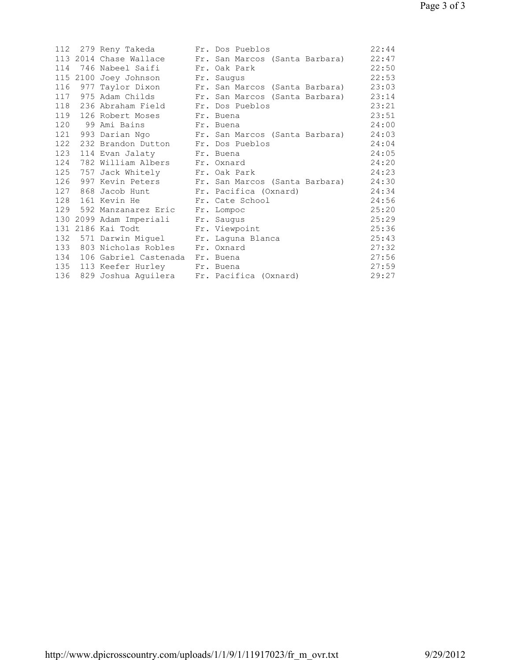|     | 112 279 Reny Takeda Fr. Dos Pueblos           |                                                       | 22:44 |
|-----|-----------------------------------------------|-------------------------------------------------------|-------|
|     |                                               | 113 2014 Chase Wallace Fr. San Marcos (Santa Barbara) | 22:47 |
|     | 114 746 Nabeel Saifi Fr. Oak Park             |                                                       | 22:50 |
|     | 115 2100 Joey Johnson Fr. Saugus              |                                                       | 22:53 |
|     |                                               | 116 977 Taylor Dixon Fr. San Marcos (Santa Barbara)   | 23:03 |
|     |                                               | 117 975 Adam Childs Fr. San Marcos (Santa Barbara)    | 23:14 |
|     | 118 236 Abraham Field Fr. Dos Pueblos         |                                                       | 23:21 |
|     | 119 126 Robert Moses Fr. Buena                |                                                       | 23:51 |
|     | 120 99 Ami Bains Fr. Buena                    |                                                       | 24:00 |
|     |                                               | 121 993 Darian Ngo Fr. San Marcos (Santa Barbara)     | 24:03 |
|     | 122 232 Brandon Dutton Fr. Dos Pueblos        |                                                       | 24:04 |
| 123 | 114 Evan Jalaty Fr. Buena                     |                                                       | 24:05 |
| 124 | 782 William Albers Fr. Oxnard                 |                                                       | 24:20 |
|     | 125 757 Jack Whitely Fr. Oak Park             |                                                       | 24:23 |
| 126 |                                               | 997 Kevin Peters Fr. San Marcos (Santa Barbara)       | 24:30 |
| 127 | 868 Jacob Hunt Fr. Pacifica (Oxnard)          |                                                       | 24:34 |
|     | 128 161 Kevin He Fr. Cate School              |                                                       | 24:56 |
|     | 129 592 Manzanarez Eric Fr. Lompoc            |                                                       | 25:20 |
|     | 130 2099 Adam Imperiali Fr. Saugus            |                                                       | 25:29 |
|     | 131 2186 Kai Todt Fr. Viewpoint               |                                                       | 25:36 |
|     | 132 571 Darwin Miguel Fr. Laguna Blanca       |                                                       | 25:43 |
|     | 133 803 Nicholas Robles Fr. Oxnard            |                                                       | 27:32 |
|     | 134 106 Gabriel Castenada Fr. Buena           |                                                       | 27:56 |
|     | 135 113 Keefer Hurley Fr. Buena               |                                                       | 27:59 |
|     | 136 829 Joshua Aguilera Fr. Pacifica (Oxnard) |                                                       | 29:27 |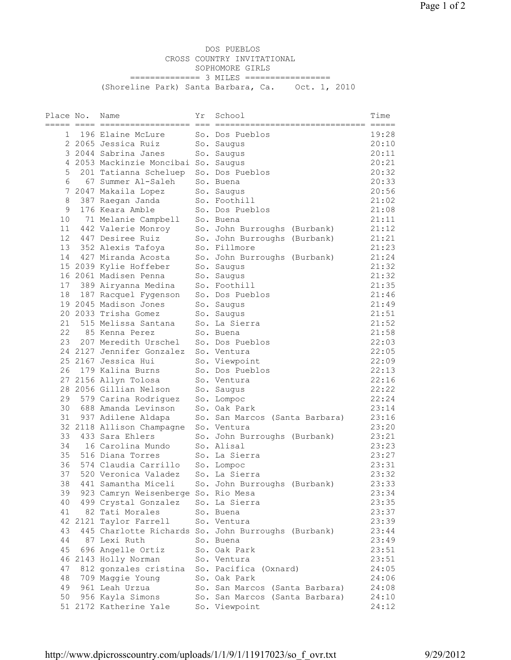DOS PUEBLOS CROSS COUNTRY INVITATIONAL SOPHOMORE GIRLS =============== 3 MILES ================= (Shoreline Park) Santa Barbara, Ca. Oct. 1, 2010

| Place No. |   | Name                                 | Υr | School                                              | Time  |
|-----------|---|--------------------------------------|----|-----------------------------------------------------|-------|
|           |   | ----- ---- -------------------       |    |                                                     |       |
| 1         |   | 196 Elaine McLure                    |    | So. Dos Pueblos                                     | 19:28 |
|           |   | 2 2065 Jessica Ruiz                  |    | So. Saugus                                          | 20:10 |
|           |   | 3 2044 Sabrina Janes                 |    | So. Saugus                                          | 20:11 |
|           |   | 4 2053 Mackinzie Moncibai So. Saugus |    |                                                     | 20:21 |
| 5         |   | 201 Tatianna Scheluep                |    | So. Dos Pueblos                                     | 20:32 |
|           | 6 | 67 Summer Al-Saleh                   |    | So. Buena                                           | 20:33 |
|           |   | 7 2047 Makaila Lopez                 |    | So. Saugus                                          | 20:56 |
| 8         |   | 387 Raegan Janda                     |    | So. Foothill                                        | 21:02 |
| 9         |   | 176 Keara Amble                      |    | So. Dos Pueblos                                     | 21:08 |
| 10        |   | 71 Melanie Campbell                  |    | So. Buena                                           | 21:11 |
| 11        |   | 442 Valerie Monroy                   |    | So. John Burroughs (Burbank)                        | 21:12 |
| 12        |   | 447 Desiree Ruiz                     |    | So. John Burroughs (Burbank)                        | 21:21 |
|           |   | 13 352 Alexis Tafoya                 |    | So. Fillmore                                        | 21:23 |
|           |   |                                      |    |                                                     | 21:24 |
|           |   | 14 427 Miranda Acosta                |    | So. John Burroughs (Burbank)                        |       |
|           |   | 15 2039 Kylie Hoffeber               |    | So. Saugus                                          | 21:32 |
|           |   | 16 2061 Madisen Penna                |    | So. Saugus                                          | 21:32 |
|           |   | 17 389 Airyanna Medina               |    | So. Foothill                                        | 21:35 |
| 18        |   | 187 Racquel Fygenson                 |    | So. Dos Pueblos                                     | 21:46 |
|           |   | 19 2045 Madison Jones                |    | So. Saugus                                          | 21:49 |
|           |   | 20 2033 Trisha Gomez                 |    | So. Saugus                                          | 21:51 |
| 21        |   | 515 Melissa Santana                  |    | So. La Sierra                                       | 21:52 |
| 22        |   | 85 Kenna Perez                       |    | So. Buena                                           | 21:58 |
| 23        |   | 207 Meredith Urschel                 |    | So. Dos Pueblos                                     | 22:03 |
|           |   | 24 2127 Jennifer Gonzalez            |    | So. Ventura                                         | 22:05 |
|           |   | 25 2167 Jessica Hui                  |    | So. Viewpoint                                       | 22:09 |
|           |   | 26 179 Kalina Burns                  |    | So. Dos Pueblos                                     | 22:13 |
|           |   | 27 2156 Allyn Tolosa                 |    | So. Ventura                                         | 22:16 |
|           |   | 28 2056 Gillian Nelson               |    | So. Saugus                                          | 22:22 |
| 29        |   | 579 Carina Rodriguez                 |    | So. Lompoc                                          | 22:24 |
| 30        |   | 688 Amanda Levinson                  |    | So. Oak Park                                        | 23:14 |
| 31        |   | 937 Adilene Aldapa                   |    | So. San Marcos (Santa Barbara)                      | 23:16 |
|           |   | 32 2118 Allison Champagne            |    | So. Ventura                                         | 23:20 |
|           |   | 33 433 Sara Ehlers                   |    | So. John Burroughs (Burbank)                        | 23:21 |
|           |   | 34    16 Carolina Mundo              |    | So. Alisal                                          | 23:23 |
| 35        |   | 516 Diana Torres                     |    | So. La Sierra                                       | 23:27 |
| 36        |   | 574 Claudia Carrillo                 |    | So. Lompoc                                          | 23:31 |
| 37        |   | 520 Veronica Valadez                 |    | So. La Sierra                                       | 23:32 |
| 38        |   | 441 Samantha Miceli                  |    | So. John Burroughs (Burbank)                        | 23:33 |
| 39        |   | 923 Camryn Weisenberge So. Rio Mesa  |    |                                                     | 23:34 |
| 40        |   | 499 Crystal Gonzalez                 |    | So. La Sierra                                       | 23:35 |
| 41        |   | 82 Tati Morales                      |    | So. Buena                                           | 23:37 |
|           |   | 42 2121 Taylor Farrell               |    |                                                     | 23:39 |
|           |   |                                      |    | So. Ventura                                         | 23:44 |
| 43        |   | 87 Lexi Ruth                         |    | 445 Charlotte Richards So. John Burroughs (Burbank) |       |
| 44        |   |                                      |    | So. Buena                                           | 23:49 |
| 45        |   | 696 Angelle Ortiz                    |    | So. Oak Park                                        | 23:51 |
|           |   | 46 2143 Holly Norman                 |    | So. Ventura                                         | 23:51 |
| 47        |   | 812 gonzales cristina                |    | So. Pacifica (Oxnard)                               | 24:05 |
| 48        |   | 709 Maggie Young                     |    | So. Oak Park                                        | 24:06 |
| 49        |   | 961 Leah Urzua                       |    | So. San Marcos (Santa Barbara)                      | 24:08 |
| 50        |   | 956 Kayla Simons                     |    | So. San Marcos (Santa Barbara)                      | 24:10 |
|           |   | 51 2172 Katherine Yale               |    | So. Viewpoint                                       | 24:12 |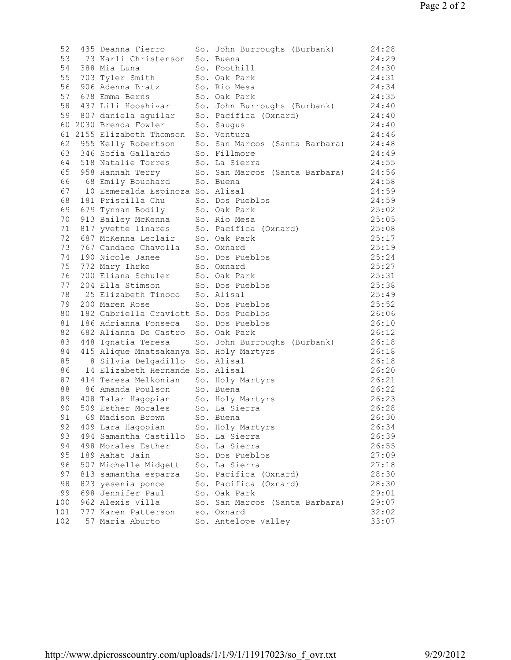| 52  | 435 Deanna Fierro                                                             | So. John Burroughs (Burbank)                                                                                | 24:28          |
|-----|-------------------------------------------------------------------------------|-------------------------------------------------------------------------------------------------------------|----------------|
| 53  | 73 Karli Christenson                                                          | So. Buena                                                                                                   | 24:29          |
| 54  | 388 Mia Luna                                                                  | So. Foothill                                                                                                | 24:30          |
|     | 55 703 Tyler Smith                                                            | So. Oak Park                                                                                                | 24:31          |
| 56  | 906 Adenna Bratz                                                              | So. Rio Mesa                                                                                                | 24:34          |
|     | 57 678 Emma Berns                                                             | So. Oak Park                                                                                                | 24:35          |
| 58  | 437 Lili Hooshivar                                                            | So. John Burroughs (Burbank)                                                                                | 24:40          |
|     | 59 807 daniela aguilar                                                        | So. Pacifica (Oxnard)                                                                                       | 24:40          |
|     | 60 2030 Brenda Fowler                                                         | So. Saugus                                                                                                  | 24:40          |
|     | 61 2155 Elizabeth Thomson                                                     | So. Ventura                                                                                                 | 24:46          |
| 62  |                                                                               | So. San Marcos (Santa Barbara)                                                                              | 24:48          |
| 63  | 955 Kelly Robertson<br>346 Sofia Gallardo                                     | So. Fillmore                                                                                                | 24:49          |
|     | 64 518 Natalie Torres                                                         | So. La Sierra                                                                                               | 24:55          |
|     | 65 958 Hannah Terry                                                           | So. San Marcos (Santa Barbara)                                                                              | 24:56          |
| 66  | 68 Emily Bouchard So. Buena                                                   |                                                                                                             | 24:58          |
|     | 67 10 Esmeralda Espinoza So. Alisal                                           |                                                                                                             | 24:59          |
| 68  | 181 Priscilla Chu                                                             | So. Dos Pueblos                                                                                             | 24:59          |
| 69  | 679 Tynnan Bodily So. Oak Park                                                |                                                                                                             | 25:02          |
|     |                                                                               |                                                                                                             | 25:05          |
|     |                                                                               | 70 913 Bailey McKenna<br>71 817 yvette linares So. Pacifica (Oxnard)<br>72 687 McKenna Leclair So. Oak Park | 25:08          |
|     |                                                                               |                                                                                                             | 25:17          |
| 73  | 767 Candace Chavolla                                                          | So. Oxnard                                                                                                  | 25:19          |
| 74  | 190 Nicole Janee                                                              | So. Dos Pueblos                                                                                             | 25:24          |
| 75  | 772 Mary Ihrke                                                                | So. Oxnard                                                                                                  | 25:27          |
| 76  | 700 Eliana Schuler                                                            | So. Oak Park                                                                                                | 25:31          |
| 77  | 204 Ella Stimson So. Dos Pueblos                                              |                                                                                                             | 25:38          |
| 78  | 25 Elizabeth Tinoco So. Alisal                                                |                                                                                                             | 25:49          |
| 79  | 200 Maren Rose                                                                | So. Dos Pueblos                                                                                             | 25:52          |
| 80  | 182 Gabriella Craviott So. Dos Pueblos                                        |                                                                                                             | 26:06          |
| 81  | 186 Adrianna Fonseca So. Dos Pueblos                                          |                                                                                                             | 26:10          |
| 82  | 682 Alianna De Castro                                                         | So. Oak Park                                                                                                | 26:12          |
| 83  | 448 Ignatia Teresa                                                            | So. John Burroughs (Burbank)                                                                                | 26:18          |
| 84  | 415 Alique Mnatsakanya So. Holy Martyrs                                       |                                                                                                             | 26:18          |
| 85  | 8 Silvia Delgadillo So. Alisal                                                |                                                                                                             | 26:18          |
| 86  | 14 Elizabeth Hernande So. Alisal                                              |                                                                                                             | 26:20          |
| 87  | 414 Teresa Melkonian                                                          | So. Holy Martyrs                                                                                            | 26:21          |
| 88  |                                                                               | So. Buena                                                                                                   | 26:22          |
|     | 86 Amanda Poulson                                                             |                                                                                                             | 26:23          |
|     | 89 408 Talar Hagopian So. Holy Martyrs<br>90 509 Esther Morales So. La Sierra |                                                                                                             | 26:28          |
|     | 91 69 Madison Brown                                                           | So. Buena                                                                                                   | 26:30          |
| 92  | 409 Lara Hagopian                                                             | So. Holy Martyrs                                                                                            | 26:34          |
| 93  | 494 Samantha Castillo                                                         | So. La Sierra                                                                                               | 26:39          |
| 94  | 498 Morales Esther                                                            | So. La Sierra                                                                                               | 26:55          |
| 95  | 189 Aahat Jain                                                                | So. Dos Pueblos                                                                                             | 27:09          |
| 96  | 507 Michelle Midgett                                                          | So. La Sierra                                                                                               | 27:18          |
| 97  |                                                                               | So. Pacifica (Oxnard)                                                                                       | 28:30          |
| 98  | 813 samantha esparza<br>823 yesenia ponce                                     | So. Pacifica (Oxnard)                                                                                       | 28:30          |
| 99  | 698 Jennifer Paul                                                             |                                                                                                             |                |
| 100 | 962 Alexis Villa                                                              | So. Oak Park<br>So. San Marcos (Santa Barbara)                                                              | 29:01<br>29:07 |
| 101 | 777 Karen Patterson                                                           | so. Oxnard                                                                                                  | 32:02          |
|     | 57 Maria Aburto                                                               | So. Antelope Valley                                                                                         |                |
| 102 |                                                                               |                                                                                                             | 33:07          |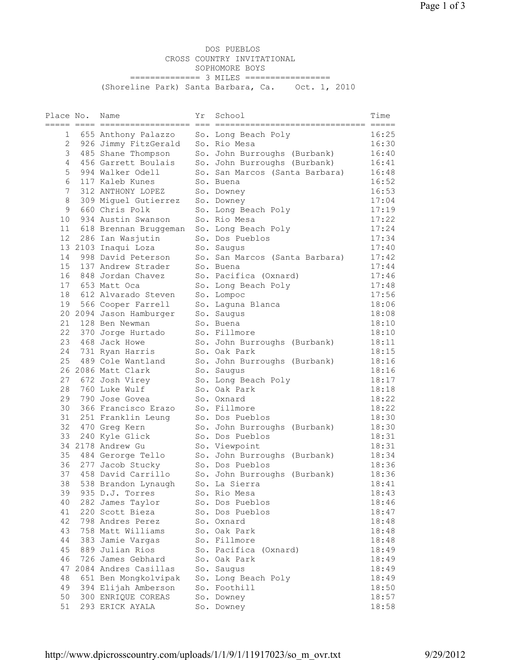DOS PUEBLOS CROSS COUNTRY INVITATIONAL SOPHOMORE BOYS ================ 3 MILES ================= (Shoreline Park) Santa Barbara, Ca. Oct. 1, 2010

| Place No. | Name                           | Υr | School                         | Time  |
|-----------|--------------------------------|----|--------------------------------|-------|
|           | ----- ---- ------------------- |    | ======= =====                  |       |
| 1         | 655 Anthony Palazzo            |    | So. Long Beach Poly            | 16:25 |
| 2         | 926 Jimmy FitzGerald           |    | So. Rio Mesa                   | 16:30 |
| 3         | 485 Shane Thompson             |    | So. John Burroughs (Burbank)   | 16:40 |
| 4         | 456 Garrett Boulais            |    | So. John Burroughs (Burbank)   | 16:41 |
| 5         | 994 Walker Odell               |    | So. San Marcos (Santa Barbara) | 16:48 |
| 6         | 117 Kaleb Kunes                |    | So. Buena                      | 16:52 |
| 7         | 312 ANTHONY LOPEZ              |    | So. Downey                     | 16:53 |
| 8         | 309 Miguel Gutierrez           |    | So. Downey                     | 17:04 |
| 9         | 660 Chris Polk                 |    | So. Long Beach Poly            | 17:19 |
| 10        | 934 Austin Swanson             |    | So. Rio Mesa                   | 17:22 |
| 11        | 618 Brennan Bruggeman          |    | So. Long Beach Poly            | 17:24 |
| 12        | 286 Ian Wasjutin               |    | So. Dos Pueblos                | 17:34 |
|           | 13 2103 Inaqui Loza            |    | So. Saugus                     | 17:40 |
| 14        | 998 David Peterson             |    | So. San Marcos (Santa Barbara) | 17:42 |
| 15        | 137 Andrew Strader             |    | So. Buena                      | 17:44 |
| 16        | 848 Jordan Chavez              |    | So. Pacifica (Oxnard)          | 17:46 |
|           | 17 653 Matt Oca                |    | So. Long Beach Poly            | 17:48 |
| 18        | 612 Alvarado Steven            |    | So. Lompoc                     | 17:56 |
| 19        | 566 Cooper Farrell             |    | So. Laquna Blanca              | 18:06 |
|           | 20 2094 Jason Hamburger        |    | So. Saugus                     | 18:08 |
| 21        | 128 Ben Newman                 |    | So. Buena                      | 18:10 |
|           | 22 370 Jorge Hurtado           |    | So. Fillmore                   | 18:10 |
| 23        | 468 Jack Howe                  |    | So. John Burroughs (Burbank)   | 18:11 |
|           | 24 731 Ryan Harris             |    | So. Oak Park                   | 18:15 |
| 25        | 489 Cole Wantland              |    | So. John Burroughs (Burbank)   | 18:16 |
|           | 26 2086 Matt Clark             |    | So. Saugus                     | 18:16 |
| 27        | 672 Josh Virey                 |    | So. Long Beach Poly            | 18:17 |
| 28        | 760 Luke Wulf                  |    | So. Oak Park                   | 18:18 |
| 29        | 790 Jose Govea                 |    | So. Oxnard                     | 18:22 |
| 30        | 366 Francisco Erazo            |    | So. Fillmore                   | 18:22 |
| 31        | 251 Franklin Leung             |    | So. Dos Pueblos                | 18:30 |
|           | 32 470 Greg Kern               |    | So. John Burroughs (Burbank)   | 18:30 |
| 33        | 240 Kyle Glick                 |    | So. Dos Pueblos                | 18:31 |
|           | 34 2178 Andrew Gu              |    | So. Viewpoint                  | 18:31 |
|           | 35 484 Gerorge Tello           |    | So. John Burroughs (Burbank)   | 18:34 |
| 36 -      | 277 Jacob Stucky               |    | So. Dos Pueblos                | 18:36 |
| 37        | 458 David Carrillo             |    | So. John Burroughs (Burbank)   | 18:36 |
| 38        | 538 Brandon Lynaugh            |    | So. La Sierra                  | 18:41 |
| 39        | 935 D.J. Torres                |    | So. Rio Mesa                   | 18:43 |
| 40        | 282 James Taylor               |    | So. Dos Pueblos                | 18:46 |
| 41        | 220 Scott Bieza                |    | So. Dos Pueblos                | 18:47 |
| 42        | 798 Andres Perez               |    | So. Oxnard                     | 18:48 |
| 43        | 758 Matt Williams              |    | So. Oak Park                   | 18:48 |
| 44        | 383 Jamie Vargas               |    | So. Fillmore                   | 18:48 |
| 45        | 889 Julian Rios                |    | So. Pacifica (Oxnard)          | 18:49 |
| 46        | 726 James Gebhard              |    | So. Oak Park                   | 18:49 |
| 47        | 2084 Andres Casillas           |    | So. Saugus                     | 18:49 |
| 48        | 651 Ben Mongkolvipak           |    | So. Long Beach Poly            | 18:49 |
| 49        | 394 Elijah Amberson            |    | So. Foothill                   | 18:50 |
| 50        | 300 ENRIQUE COREAS             |    | So. Downey                     | 18:57 |
| 51        | 293 ERICK AYALA                |    | So. Downey                     | 18:58 |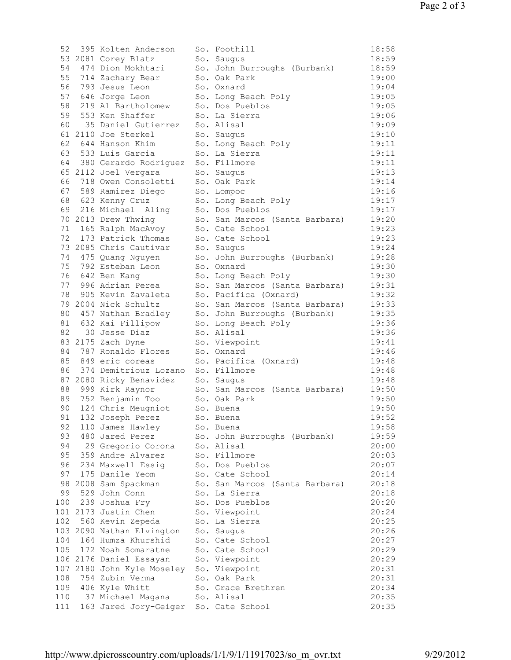| 52  | 395 Kolten Anderson                                                 | So. Foothill                   | 18:58 |
|-----|---------------------------------------------------------------------|--------------------------------|-------|
|     | 53 2081 Corey Blatz                                                 | So. Saugus                     | 18:59 |
|     | 54 474 Dion Mokhtari                                                | So. John Burroughs (Burbank)   | 18:59 |
|     | 55 714 Zachary Bear                                                 | So. Oak Park                   | 19:00 |
|     | 56 793 Jesus Leon                                                   | So. Oxnard                     | 19:04 |
|     | 57 646 Jorge Leon                                                   | So. Long Beach Poly            | 19:05 |
|     | 58 219 Al Bartholomew                                               | So. Dos Pueblos                | 19:05 |
|     | 59 553 Ken Shaffer                                                  | So. La Sierra                  | 19:06 |
|     | 60 35 Daniel Gutierrez                                              | So. Alisal                     | 19:09 |
|     | 61 2110 Joe Sterkel                                                 | So. Saugus                     | 19:10 |
|     | 62 644 Hanson Khim                                                  | So. Long Beach Poly            | 19:11 |
|     | 63 533 Luis Garcia                                                  | So. La Sierra                  | 19:11 |
|     | 64 380 Gerardo Rodriguez                                            | So. Fillmore                   | 19:11 |
|     |                                                                     |                                |       |
|     | 65 2112 Joel Vergara                                                | So. Saugus                     | 19:13 |
|     | 66 718 Owen Consoletti                                              | So. Oak Park                   | 19:14 |
|     | 67 589 Ramirez Diego                                                | So. Lompoc                     | 19:16 |
|     | 68 623 Kenny Cruz                                                   | So. Long Beach Poly            | 19:17 |
|     | 69 216 Michael Aling<br>70 2013 Drew Thwing                         | So. Dos Pueblos                | 19:17 |
|     |                                                                     | So. San Marcos (Santa Barbara) | 19:20 |
|     | 71 165 Ralph MacAvoy                                                | So. Cate School                | 19:23 |
|     | 72 173 Patrick Thomas                                               | So. Cate School                | 19:23 |
|     | 73 2085 Chris Cautivar                                              | So. Saugus                     | 19:24 |
|     | 74 475 Quang Nguyen                                                 | So. John Burroughs (Burbank)   | 19:28 |
|     | 75 792 Esteban Leon                                                 | So. Oxnard                     | 19:30 |
|     | 76 642 Ben Kang                                                     | So. Long Beach Poly            | 19:30 |
|     | 77 996 Adrian Perea                                                 | So. San Marcos (Santa Barbara) | 19:31 |
|     | 78 905 Kevin Zavaleta                                               | So. Pacifica (Oxnard)          | 19:32 |
|     | 79 2004 Nick Schultz                                                | So. San Marcos (Santa Barbara) | 19:33 |
|     | 80 457 Nathan Bradley                                               | So. John Burroughs (Burbank)   | 19:35 |
|     | 81 632 Kai Fillipow                                                 | So. Long Beach Poly            | 19:36 |
|     | 82 30 Jesse Diaz                                                    | So. Alisal                     | 19:36 |
|     | 83 2175 Zach Dyne                                                   | So. Viewpoint                  | 19:41 |
|     | 84 787 Ronaldo Flores                                               | So. Oxnard                     | 19:46 |
|     | 85 849 eric coreas                                                  | So. Pacifica (Oxnard)          | 19:48 |
|     | 86 374 Demitriouz Lozano                                            | So. Fillmore                   | 19:48 |
|     |                                                                     | So. Saugus                     | 19:48 |
|     | 87 2080 Ricky Benavidez<br>88 999 Kirk Ravnor<br>88 999 Kirk Raynor | So. San Marcos (Santa Barbara) | 19:50 |
|     | 89 752 Benjamin Too                                                 | So. Oak Park                   | 19:50 |
|     | 90 124 Chris Meugniot                                               | So. Buena                      | 19:50 |
| 91  | 132 Joseph Perez So. Buena                                          |                                | 19:52 |
|     |                                                                     |                                |       |
| 92  | 110 James Hawley                                                    | So. Buena                      | 19:58 |
| 93  | 480 Jared Perez                                                     | So. John Burroughs (Burbank)   | 19:59 |
| 94  | 29 Gregorio Corona                                                  | So. Alisal                     | 20:00 |
| 95  | 359 Andre Alvarez                                                   | So. Fillmore                   | 20:03 |
| 96  | 234 Maxwell Essig                                                   | So. Dos Pueblos                | 20:07 |
| 97  | 175 Danile Yeom                                                     | So. Cate School                | 20:14 |
|     | 98 2008 Sam Spackman                                                | So. San Marcos (Santa Barbara) | 20:18 |
| 99  | 529 John Conn                                                       | So. La Sierra                  | 20:18 |
| 100 | 239 Joshua Fry                                                      | So. Dos Pueblos                | 20:20 |
|     | 101 2173 Justin Chen                                                | So. Viewpoint                  | 20:24 |
| 102 | 560 Kevin Zepeda                                                    | So. La Sierra                  | 20:25 |
|     | 103 2090 Nathan Elvington                                           | So. Saugus                     | 20:26 |
| 104 | 164 Humza Khurshid                                                  | So. Cate School                | 20:27 |
| 105 | 172 Noah Somaratne                                                  | So. Cate School                | 20:29 |
|     | 106 2176 Daniel Essayan                                             | So. Viewpoint                  | 20:29 |
|     | 107 2180 John Kyle Moseley                                          | So. Viewpoint                  | 20:31 |
| 108 | 754 Zubin Verma                                                     | So. Oak Park                   | 20:31 |
| 109 | 406 Kyle Whitt                                                      | So. Grace Brethren             | 20:34 |
| 110 | 37 Michael Magana                                                   | So. Alisal                     | 20:35 |
| 111 | 163 Jared Jory-Geiger                                               | So. Cate School                | 20:35 |
|     |                                                                     |                                |       |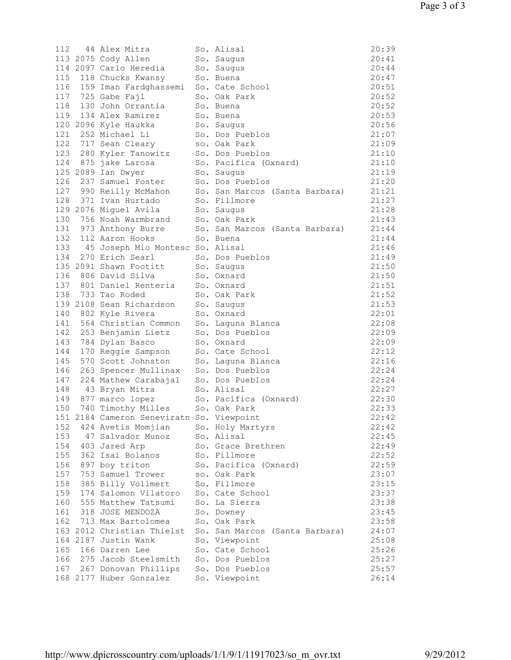| 112 | 44 Alex Mitra                                                                                                   | So. Alisal                                           | 20:39 |
|-----|-----------------------------------------------------------------------------------------------------------------|------------------------------------------------------|-------|
|     | 113 2075 Cody Allen                                                                                             | So. Saugus                                           | 20:41 |
|     | 114 2097 Carlo Heredia So. Saugus                                                                               |                                                      | 20:44 |
|     | 115 118 Chucks Kwansy                                                                                           | So. Buena                                            | 20:47 |
|     | 116 159 Iman Fardghassemi                                                                                       | So. Cate School                                      | 20:51 |
|     | 117 725 Gabe Fajl                                                                                               | So. Oak Park                                         | 20:52 |
|     | 118 130 John Orrantia                                                                                           | So. Buena                                            | 20:52 |
|     | 119 134 Alex Ramirez                                                                                            | So. Buena                                            | 20:53 |
|     | 120 2096 Kyle Haukka                                                                                            | So. Saugus                                           | 20:56 |
|     | 121 252 Michael Li                                                                                              | So. Dos Pueblos                                      | 21:07 |
|     | 122 717 Sean Cleary                                                                                             | so. Oak Park                                         | 21:09 |
|     | 123 280 Kyler Tanowitz So. Dos Pueblos<br>124 875 jake Larosa So. Pacifica (O:<br>125 2089 Ian Dwyer So. Saugus |                                                      | 21:10 |
|     |                                                                                                                 | So. Pacifica (Oxnard)                                | 21:10 |
|     | 125 2089 Ian Dwyer                                                                                              | So. Saugus                                           | 21:19 |
|     | 126 237 Samuel Foster                                                                                           | So. Dos Pueblos                                      | 21:20 |
|     | 127 990 Reilly McMahon                                                                                          | So. San Marcos (Santa Barbara)                       | 21:21 |
|     | 128 371 Ivan Hurtado                                                                                            | So. Fillmore                                         | 21:27 |
|     | 129 2076 Miguel Avila So. Saugus                                                                                |                                                      | 21:28 |
|     | 130 756 Noah Warmbrand So. Oak Park                                                                             |                                                      | 21:43 |
|     |                                                                                                                 | 131 973 Anthony Burre So. San Marcos (Santa Barbara) | 21:44 |
|     | 132 112 Aaron Hooks                                                                                             | So. Buena                                            | 21:44 |
|     | 133 45 Joseph Mio Montesc So. Alisal                                                                            |                                                      | 21:46 |
|     | 134 270 Erich Searl                                                                                             | So. Dos Pueblos                                      | 21:49 |
|     | 135 2091 Shawn Footitt                                                                                          | So. Saugus                                           | 21:50 |
|     | 136 806 David Silva                                                                                             | So. Oxnard                                           | 21:50 |
|     | 137 801 Daniel Renteria                                                                                         | So. Oxnard                                           | 21:51 |
|     | 138 733 Tao Roded                                                                                               | So. Oak Park                                         | 21:52 |
|     | 139 2108 Sean Richardson So. Saugus                                                                             |                                                      | 21:53 |
|     | 140 802 Kyle Rivera<br>140 802 Kyle Rivera<br>141 564 Christian Common<br>142 253 Benjamin Lietz                | So. Oxnard                                           | 22:01 |
|     |                                                                                                                 | So. Laguna Blanca                                    | 22:08 |
|     |                                                                                                                 | So. Dos Pueblos                                      | 22:09 |
|     | 143 784 Dylan Basco                                                                                             | So. Oxnard                                           | 22:09 |
|     | 144 170 Reggie Sampson                                                                                          | So. Cate School                                      | 22:12 |
| 145 | 570 Scott Johnston                                                                                              | So. Laguna Blanca                                    | 22:16 |
|     | 146 263 Spencer Mullinax So. Dos Pueblos                                                                        |                                                      | 22:24 |
|     | 147 224 Mathew Carabajal So. Dos Pueblos                                                                        |                                                      | 22:24 |
| 148 | 43 Bryan Mitra So. Alisal                                                                                       |                                                      | 22:27 |
|     | 149 877 marco lopez                                                                                             | So. Pacifica (Oxnard)                                | 22:30 |
| 150 | 740 Timothy Milles                                                                                              | So. Oak Park                                         | 22:33 |
|     | 151 2184 Cameron Seneviratn So. Viewpoint                                                                       |                                                      | 22:42 |
| 152 | 424 Avetis Momjian                                                                                              | So. Holy Martyrs                                     | 22:42 |
| 153 | 47 Salvador Munoz                                                                                               | So. Alisal                                           | 22:45 |
| 154 | 403 Jared Arp                                                                                                   | So. Grace Brethren                                   | 22:49 |
| 155 | 362 Isai Bolanos                                                                                                | So. Fillmore                                         | 22:52 |
| 156 | 897 boy triton                                                                                                  | So. Pacifica (Oxnard)                                | 22:59 |
| 157 | 753 Samuel Trower                                                                                               | so. Oak Park                                         | 23:07 |
| 158 | 385 Billy Vollmert                                                                                              | So. Fillmore                                         | 23:15 |
| 159 | 174 Salomon Vilatoro                                                                                            | So. Cate School                                      | 23:37 |
| 160 | 555 Matthew Tatsumi                                                                                             | So. La Sierra                                        | 23:38 |
| 161 | 318 JOSE MENDOZA                                                                                                | So. Downey                                           | 23:45 |
| 162 | 713 Max Bartolomea                                                                                              | So. Oak Park                                         | 23:58 |
|     | 163 2012 Christian Thielst                                                                                      | So. San Marcos (Santa Barbara)                       | 24:07 |
|     | 164 2187 Justin Wank                                                                                            | So. Viewpoint                                        | 25:08 |
| 165 | 166 Darren Lee                                                                                                  | So. Cate School                                      | 25:26 |
| 166 | 275 Jacob Steelsmith                                                                                            | So. Dos Pueblos                                      | 25:27 |
|     | 167 267 Donovan Phillips                                                                                        | So. Dos Pueblos                                      | 25:57 |
|     | 168 2177 Huber Gonzalez                                                                                         | So. Viewpoint                                        | 26:14 |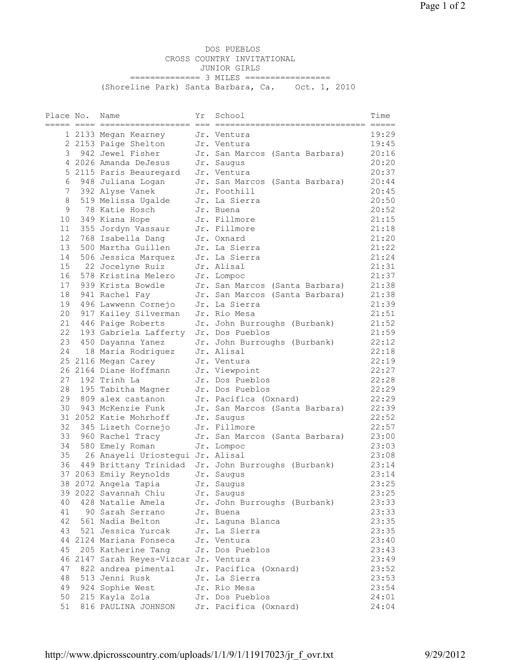DOS PUEBLOS CROSS COUNTRY INVITATIONAL JUNIOR GIRLS =============== 3 MILES ================= (Shoreline Park) Santa Barbara, Ca. Oct. 1, 2010

| Place No. | Name                                   | Υr | School                         | Time  |
|-----------|----------------------------------------|----|--------------------------------|-------|
|           |                                        |    |                                |       |
|           | 1 2133 Megan Kearney                   |    | Jr. Ventura                    | 19:29 |
|           | 2 2153 Paige Shelton                   |    | Jr. Ventura                    | 19:45 |
| 3         | 942 Jewel Fisher                       |    | Jr. San Marcos (Santa Barbara) | 20:16 |
|           | 4 2026 Amanda DeJesus                  |    | Jr. Saugus                     | 20:20 |
|           | 5 2115 Paris Beauregard                |    | Jr. Ventura                    | 20:37 |
|           | 6 948 Juliana Logan                    |    | Jr. San Marcos (Santa Barbara) | 20:44 |
| 7         | 392 Alyse Vanek                        |    | Jr. Foothill                   | 20:45 |
| 8         | 519 Melissa Ugalde                     |    | Jr. La Sierra                  | 20:50 |
| 9         | 78 Katie Hosch                         |    | Jr. Buena                      | 20:52 |
| 10        | 349 Kiana Hope                         |    | Jr. Fillmore                   | 21:15 |
| 11        | 355 Jordyn Vassaur                     |    | Jr. Fillmore                   | 21:18 |
| 12        | 768 Isabella Dang                      |    | Jr. Oxnard                     | 21:20 |
| 13        |                                        |    | Jr. La Sierra                  |       |
| 14        | 500 Martha Guillen                     |    |                                | 21:22 |
|           | 506 Jessica Marquez                    |    | Jr. La Sierra                  | 21:24 |
| 15        | 22 Jocelyne Ruiz                       |    | Jr. Alisal                     | 21:31 |
| 16        | 578 Kristina Melero                    |    | Jr. Lompoc                     | 21:37 |
| 17        | 939 Krista Bowdle                      |    | Jr. San Marcos (Santa Barbara) | 21:38 |
| 18        | 941 Rachel Fay                         |    | Jr. San Marcos (Santa Barbara) | 21:38 |
| 19        | 496 Lawwenn Cornejo                    |    | Jr. La Sierra                  | 21:39 |
| 20        | 917 Kailey Silverman                   |    | Jr. Rio Mesa                   | 21:51 |
| 21        | 446 Paige Roberts                      |    | Jr. John Burroughs (Burbank)   | 21:52 |
| 22        | 193 Gabriela Lafferty                  |    | Jr. Dos Pueblos                | 21:59 |
| 23        | 450 Dayanna Yanez                      |    | Jr. John Burroughs (Burbank)   | 22:12 |
| 24        | 18 Maria Rodriquez                     |    | Jr. Alisal                     | 22:18 |
|           | 25 2116 Megan Carey                    |    | Jr. Ventura                    | 22:19 |
|           | 26 2164 Diane Hoffmann                 |    | Jr. Viewpoint                  | 22:27 |
| 27        | 192 Trinh La                           |    | Jr. Dos Pueblos                | 22:28 |
| 28        | 195 Tabitha Magner                     |    | Jr. Dos Pueblos                | 22:29 |
| 29        | 809 alex castanon                      |    | Jr. Pacifica (Oxnard)          | 22:29 |
| 30        | 943 McKenzie Funk                      |    | Jr. San Marcos (Santa Barbara) | 22:39 |
|           | 31 2052 Katie Mohrhoff                 |    | Jr. Saugus                     | 22:52 |
| 32        | 345 Lizeth Cornejo                     |    | Jr. Fillmore                   | 22:57 |
| 33        | 960 Rachel Tracy                       |    | Jr. San Marcos (Santa Barbara) | 23:00 |
| 34        | 580 Emely Roman                        |    | Jr. Lompoc                     | 23:03 |
| 35        | 26 Anayeli Uriostegui Jr. Alisal       |    |                                | 23:08 |
| 36        | 449 Brittany Trinidad                  |    | Jr. John Burroughs (Burbank)   | 23:14 |
|           | 37 2063 Emily Reynolds                 |    | Jr. Saugus                     | 23:14 |
|           | 38 2072 Angela Tapia                   |    | Jr. Saugus                     | 23:25 |
|           | 39 2022 Savannah Chiu                  |    | Jr. Saugus                     | 23:25 |
| 40        | 428 Natalie Amela                      |    | Jr. John Burroughs (Burbank)   | 23:33 |
| 41        | 90 Sarah Serrano                       |    | Jr. Buena                      | 23:33 |
|           |                                        |    |                                |       |
| 42        | 561 Nadia Belton                       |    | Jr. Laguna Blanca              | 23:35 |
| 43        | 521 Jessica Yurcak                     |    | Jr. La Sierra                  | 23:35 |
|           | 44 2124 Mariana Fonseca                |    | Jr. Ventura                    | 23:40 |
| 45        | 205 Katherine Tang                     |    | Jr. Dos Pueblos                | 23:43 |
|           | 46 2147 Sarah Reyes-Vizcar Jr. Ventura |    |                                | 23:49 |
| 47        | 822 andrea pimental                    |    | Jr. Pacifica (Oxnard)          | 23:52 |
| 48        | 513 Jenni Rusk                         |    | Jr. La Sierra                  | 23:53 |
| 49        | 924 Sophie West                        |    | Jr. Rio Mesa                   | 23:54 |
| 50        | 215 Kayla Zola                         |    | Jr. Dos Pueblos                | 24:01 |
| 51        | 816 PAULINA JOHNSON                    |    | Jr. Pacifica (Oxnard)          | 24:04 |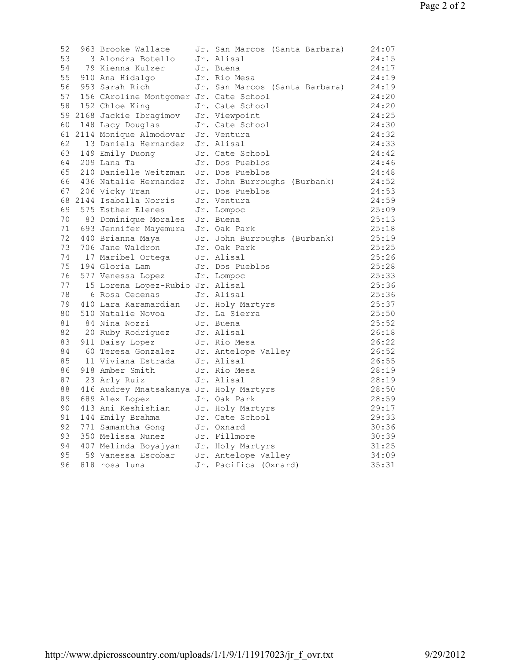| 52 | 963 Brooke Wallace                                                                                                      | Jr. San Marcos (Santa Barbara)                        | 24:07 |
|----|-------------------------------------------------------------------------------------------------------------------------|-------------------------------------------------------|-------|
| 53 | 3 Alondra Botello                                                                                                       | Jr. Alisal                                            | 24:15 |
|    | 54 79 Kienna Kulzer                                                                                                     | Jr. Buena                                             | 24:17 |
|    | 55 910 Ana Hidalgo                                                                                                      | Jr. Rio Mesa                                          | 24:19 |
|    | 56 953 Sarah Rich                                                                                                       | Jr. San Marcos (Santa Barbara)                        | 24:19 |
|    | 57 156 CAroline Montgomer Jr. Cate School                                                                               |                                                       | 24:20 |
|    | 58 152 Chloe King                                                                                                       | Jr. Cate School                                       | 24:20 |
|    | 59 2168 Jackie Ibragimov                                                                                                | Jr. Viewpoint                                         | 24:25 |
|    | 60 148 Lacy Douglas                                                                                                     | Jr. Cate School                                       | 24:30 |
|    | 61 2114 Monique Almodovar                                                                                               | Jr. Ventura                                           | 24:32 |
|    | 62 13 Daniela Hernandez                                                                                                 | Jr. Alisal                                            | 24:33 |
|    | 63 149 Emily Duong                                                                                                      | Jr. Cate School                                       | 24:42 |
|    | 64 209 Lana Ta                                                                                                          | Jr. Dos Pueblos                                       | 24:46 |
|    | 65 210 Danielle Weitzman                                                                                                | Jr. Dos Pueblos                                       | 24:48 |
|    |                                                                                                                         | 66 436 Natalie Hernandez Jr. John Burroughs (Burbank) | 24:52 |
|    | 67 206 Vicky Tran                                                                                                       | Jr. Dos Pueblos                                       | 24:53 |
|    | 68 2144 Isabella Norris                                                                                                 | Jr. Ventura                                           | 24:59 |
|    | 69 575 Esther Elenes                                                                                                    | Jr. Lompoc                                            | 25:09 |
|    | 70 83 Dominique Morales Jr. Buena                                                                                       |                                                       | 25:13 |
|    | 71 693 Jennifer Mayemura Jr. Oak Park                                                                                   |                                                       | 25:18 |
|    | 72 440 Brianna Maya<br>73 706 Jane Waldron                                                                              | Jr. John Burroughs (Burbank)                          | 25:19 |
|    |                                                                                                                         | Jr. Oak Park                                          | 25:25 |
|    | 74 17 Maribel Ortega                                                                                                    | Jr. Alisal                                            | 25:26 |
|    | 75 194 Gloria Lam Jr. Dos Pueblos<br>76 577 Venessa Lopez Jr. Lompoc                                                    |                                                       | 25:28 |
|    |                                                                                                                         |                                                       | 25:33 |
|    | 77 15 Lorena Lopez-Rubio Jr. Alisal                                                                                     |                                                       | 25:36 |
| 78 | 6 Rosa Cecenas                                                                                                          | Jr. Alisal                                            | 25:36 |
|    | 78     6 Rosa Cecenas<br>79   410 Lara Karamardian                                                                      | Jr. Holy Martyrs                                      | 25:37 |
| 80 | 510 Natalie Novoa                                                                                                       | Jr. La Sierra                                         | 25:50 |
| 81 | 84 Nina Nozzi<br>84 Nina Nozzi Jr. Buena<br>20 Ruby Rodriguez Jr. Alisal<br>911 Daisy Lopez Jr. Rio Mesa                |                                                       | 25:52 |
| 82 |                                                                                                                         |                                                       | 26:18 |
| 83 |                                                                                                                         |                                                       | 26:22 |
| 84 | 60 Teresa Gonzalez Jr. Antelope Valley<br>11 Viviana Estrada Jr. Alisal                                                 |                                                       | 26:52 |
| 85 |                                                                                                                         |                                                       | 26:55 |
| 86 | 918 Amber Smith                                                                                                         | Jr. Rio Mesa                                          | 28:19 |
|    | 87 23 Arly Ruiz                                                                                                         | Jr. Alisal                                            | 28:19 |
|    | 88 416 Audrey Mnatsakanya Jr. Holy Martyrs                                                                              |                                                       | 28:50 |
|    | 89 689 Alex Lopez                                                                                                       | Jr. Oak Park                                          | 28:59 |
| 90 | 413 Ani Keshishian                                                                                                      | Jr. Holy Martyrs                                      | 29:17 |
|    | 91 144 Emily Brahma                                                                                                     | Jr. Cate School                                       | 29:33 |
|    | 92 771 Samantha Gong                                                                                                    | Jr. Oxnard                                            | 30:36 |
|    | 93 350 Melissa Nunez Jr. Fillmore<br>94 407 Melinda Boyajyan Jr. Holy Martyrs<br>95 59 Vanessa Escobar Jr. Antelope Val |                                                       | 30:39 |
|    |                                                                                                                         |                                                       | 31:25 |
|    |                                                                                                                         | Jr. Antelope Valley                                   | 34:09 |
| 96 | 818 rosa luna                                                                                                           | Jr. Pacifica (Oxnard)                                 | 35:31 |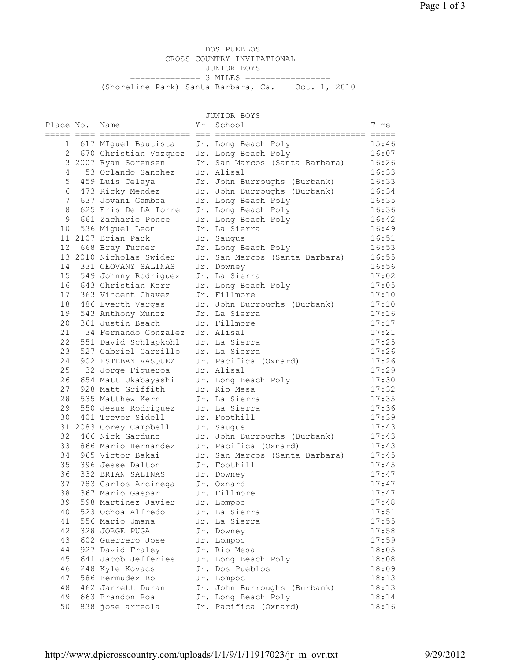DOS PUEBLOS CROSS COUNTRY INVITATIONAL JUNIOR BOYS =============== 3 MILES ================= (Shoreline Park) Santa Barbara, Ca. Oct. 1, 2010

JUNIOR BOYS

| Place No.<br>eeeee eeee ee | Name                                     | Υr<br>$== = =$ | School                              | Time           |
|----------------------------|------------------------------------------|----------------|-------------------------------------|----------------|
| $\mathbf{1}$               | 617 MIquel Bautista                      |                | Jr. Long Beach Poly                 | 15:46          |
| 2                          | 670 Christian Vazquez                    |                | Jr. Long Beach Poly                 | 16:07          |
|                            | 3 2007 Ryan Sorensen                     |                | Jr. San Marcos (Santa Barbara)      | 16:26          |
| 4                          | 53 Orlando Sanchez                       |                | Jr. Alisal                          | 16:33          |
| 5                          | 459 Luis Celaya                          |                | Jr. John Burroughs (Burbank)        | 16:33          |
| 6                          | 473 Ricky Mendez                         |                | Jr. John Burroughs (Burbank)        | 16:34          |
| 7                          | 637 Jovani Gamboa                        |                | Jr. Long Beach Poly                 | 16:35          |
| 8                          | 625 Eris De LA Torre                     |                | Jr. Long Beach Poly                 | 16:36          |
| 9                          | 661 Zacharie Ponce                       |                | Jr. Long Beach Poly                 | 16:42          |
| 10 <sup>°</sup>            | 536 Miguel Leon                          |                | Jr. La Sierra                       | 16:49          |
|                            | 11 2107 Brian Park                       |                | Jr. Saugus                          | 16:51          |
|                            | 12 668 Bray Turner                       |                | Jr. Long Beach Poly                 | 16:53          |
|                            | 13 2010 Nicholas Swider                  |                | Jr. San Marcos (Santa Barbara)      | 16:55          |
| 14                         | 331 GEOVANY SALINAS                      |                | Jr. Downey                          | 16:56          |
| 15                         | 549 Johnny Rodriguez                     |                | Jr. La Sierra                       | 17:02          |
| 16                         | 643 Christian Kerr                       |                | Jr. Long Beach Poly                 | 17:05          |
| 17                         | 363 Vincent Chavez                       |                | Jr. Fillmore                        | 17:10          |
| 18                         | 486 Everth Vargas                        |                | Jr. John Burroughs (Burbank)        | 17:10          |
| 19                         | 543 Anthony Munoz                        |                | Jr. La Sierra                       | 17:16          |
| 20                         | 361 Justin Beach                         |                | Jr. Fillmore                        | 17:17          |
| 21                         | 34 Fernando Gonzalez                     |                | Jr. Alisal                          | 17:21          |
| 22                         | 551 David Schlapkohl                     |                | Jr. La Sierra                       | 17:25          |
| 23                         | 527 Gabriel Carrillo                     |                | Jr. La Sierra                       | 17:26          |
| 24<br>25                   | 902 ESTEBAN VASQUEZ                      |                | Jr. Pacifica (Oxnard)<br>Jr. Alisal | 17:26          |
| 26                         | 32 Jorge Figueroa<br>654 Matt Okabayashi |                |                                     | 17:29<br>17:30 |
| 27                         | 928 Matt Griffith                        |                | Jr. Long Beach Poly<br>Jr. Rio Mesa | 17:32          |
| 28                         | 535 Matthew Kern                         |                | Jr. La Sierra                       | 17:35          |
| 29                         | 550 Jesus Rodriguez                      |                | Jr. La Sierra                       | 17:36          |
| 30                         | 401 Trevor Sidell                        |                | Jr. Foothill                        | 17:39          |
|                            | 31 2083 Corey Campbell                   |                | Jr. Saugus                          | 17:43          |
| 32                         | 466 Nick Garduno                         |                | Jr. John Burroughs (Burbank)        | 17:43          |
| 33                         | 866 Mario Hernandez                      |                | Jr. Pacifica (Oxnard)               | 17:43          |
| 34                         | 965 Victor Bakai                         |                | Jr. San Marcos (Santa Barbara)      | 17:45          |
| 35                         | 396 Jesse Dalton                         |                | Jr. Foothill                        | 17:45          |
| 36                         | 332 BRIAN SALINAS                        |                | Jr. Downey                          | 17:47          |
| 37                         | 783 Carlos Arcinega                      |                | Jr. Oxnard                          | 17:47          |
| 38                         | 367 Mario Gaspar                         |                | Jr. Fillmore                        | 17:47          |
| 39                         | 598 Martinez Javier                      |                | Jr. Lompoc                          | 17:48          |
| 40                         | 523 Ochoa Alfredo                        |                | Jr. La Sierra                       | 17:51          |
| 41                         | 556 Mario Umana                          |                | Jr. La Sierra                       | 17:55          |
| 42                         | 328 JORGE PUGA                           |                | Jr. Downey                          | 17:58          |
| 43                         | 602 Guerrero Jose                        |                | Jr. Lompoc                          | 17:59          |
| 44                         | 927 David Fraley                         |                | Jr. Rio Mesa                        | 18:05          |
| 45                         | 641 Jacob Jefferies                      |                | Jr. Long Beach Poly                 | 18:08          |
| 46                         | 248 Kyle Kovacs                          |                | Jr. Dos Pueblos                     | 18:09          |
| 47                         | 586 Bermudez Bo                          |                | Jr. Lompoc                          | 18:13          |
| 48                         | 462 Jarrett Duran                        |                | Jr. John Burroughs (Burbank)        | 18:13          |
| 49                         | 663 Brandon Roa                          |                | Jr. Long Beach Poly                 | 18:14          |
| 50                         | 838 jose arreola                         |                | Jr. Pacifica (Oxnard)               | 18:16          |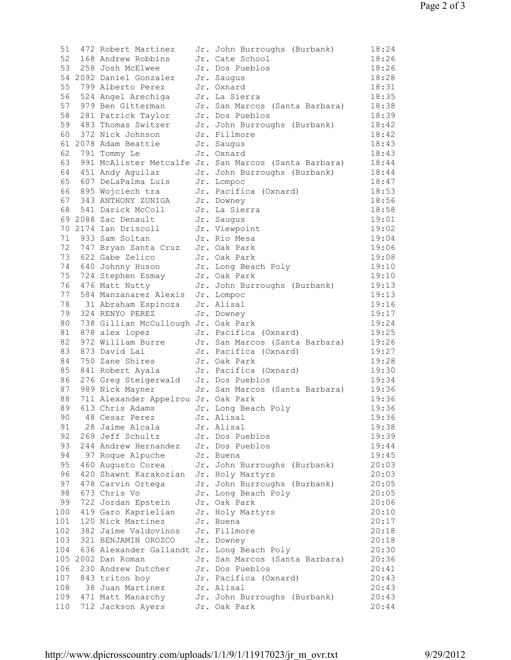| 51  | 472 Robert Martinez                                                          | Jr. John Burroughs (Burbank)                             | 18:24 |
|-----|------------------------------------------------------------------------------|----------------------------------------------------------|-------|
|     | 52 168 Andrew Robbins                                                        | Jr. Cate School                                          | 18:26 |
|     | 53 258 Josh McElwee                                                          | Jr. Dos Pueblos                                          | 18:26 |
|     | 54 2092 Daniel Gonzalez                                                      | Jr. Saugus                                               | 18:28 |
| 55  | 799 Alberto Perez                                                            | Jr. Oxnard                                               | 18:31 |
|     | 56 524 Angel Arechiga                                                        | Jr. La Sierra                                            | 18:35 |
|     | 57 979 Ben Gitterman                                                         | Jr. San Marcos (Santa Barbara)                           | 18:38 |
|     |                                                                              | Jr. Dos Pueblos                                          | 18:39 |
|     | 58 281 Patrick Taylor<br>59 483 Thomas Switzer                               | Jr. John Burroughs (Burbank)                             | 18:42 |
|     | 60 372 Nick Johnson                                                          | Jr. Fillmore                                             | 18:42 |
|     | 61 2078 Adam Beattie                                                         | Jr. Saugus                                               | 18:43 |
|     | 62 791 Tommy Le                                                              | Jr. Oxnard                                               | 18:43 |
|     |                                                                              | 63 991 McAlister Metcalfe Jr. San Marcos (Santa Barbara) | 18:44 |
|     | 64 451 Andy Aguilar                                                          | Jr. John Burroughs (Burbank)                             | 18:44 |
|     |                                                                              |                                                          | 18:47 |
|     | 65 607 DeLaPalma Luis Jr. Lompoc                                             |                                                          |       |
|     | 66 895 Wojciech tra<br>67 343 ANTHONY ZUNIGA                                 | Jr. Pacifica (Oxnard)                                    | 18:53 |
|     | 67 343 ANTHONY ZUNIGA<br>68 541 Darick McColl<br>69 2088 Zac Denault         | Jr. Downey                                               | 18:56 |
|     |                                                                              | Jr. La Sierra                                            | 18:58 |
|     | 69 2088 Zac Denault                                                          | Jr. Saugus                                               | 19:01 |
|     | 70 2174 Ian Driscoll                                                         | Jr. Viewpoint                                            | 19:02 |
|     | 71 933 Sam Soltan                                                            | Jr. Rio Mesa                                             | 19:04 |
|     | 72 747 Bryan Santa Cruz                                                      | Jr. Oak Park                                             | 19:06 |
|     | 73 622 Gabe Zelico                                                           | Jr. Oak Park                                             | 19:08 |
|     | 74 640 Johnny Huson Jr. Long Beach Poly                                      |                                                          | 19:10 |
|     | 75 724 Stephen Esmay                                                         | Jr. Oak Park                                             | 19:10 |
|     | 76 476 Matt Nutty                                                            | Jr. John Burroughs (Burbank)                             | 19:13 |
| 77  | 584 Manzanarez Alexis Jr. Lompoc                                             |                                                          | 19:13 |
| 78  | 31 Abraham Espinoza                                                          | Jr. Alisal                                               | 19:16 |
|     | 79 324 RENYO PEREZ                                                           | Jr. Downey                                               | 19:17 |
| 80  | 738 Gillian McCullough Jr. Oak Park                                          |                                                          | 19:24 |
| 81  | 878 alex lopez                                                               | Jr. Pacifica (Oxnard)                                    | 19:25 |
| 82  | 972 William Burre                                                            | Jr. San Marcos (Santa Barbara)                           | 19:26 |
| 83  | 873 David Lai                                                                | Jr. Pacifica (Oxnard)                                    | 19:27 |
|     |                                                                              |                                                          | 19:28 |
|     | 84 750 Zane Shires Jr. Oak Park<br>85 841 Robert Ayala Jr. Pacifica (Oxnard) |                                                          | 19:30 |
|     | 86 276 Greg Steigerwald Jr. Dos Pueblos                                      |                                                          | 19:34 |
|     | 87 989 Nick Mayner                                                           | Jr. San Marcos (Santa Barbara)                           | 19:36 |
|     | 88 711 Alexander Appelrou Jr. Oak Park                                       |                                                          | 19:36 |
| 89  | 613 Chris Adams                                                              | Jr. Long Beach Poly                                      | 19:36 |
| 90  | 48 Cesar Perez                                                               | Jr. Alisal                                               | 19:36 |
| 91  | 28 Jaime Alcala                                                              | Jr. Alisal                                               | 19:38 |
| 92  |                                                                              |                                                          | 19:39 |
| 93  | 269 Jeff Schultz<br>244 Andrew Hernandez                                     | Jr. Dos Pueblos<br>Jr. Dos Pueblos                       | 19:44 |
|     |                                                                              |                                                          |       |
| 94  | 97 Roque Alpuche                                                             | Jr. Buena                                                | 19:45 |
| 95  | 460 Augusto Corea                                                            | Jr. John Burroughs (Burbank)                             | 20:03 |
| 96  | 420 Shawnt Karakozian                                                        | Jr. Holy Martyrs                                         | 20:03 |
| 97  | 478 Carvin Ortega                                                            | Jr. John Burroughs (Burbank)                             | 20:05 |
| 98  | 673 Chris Vo                                                                 | Jr. Long Beach Poly                                      | 20:05 |
| 99  | 722 Jordan Epstein                                                           | Jr. Oak Park                                             | 20:06 |
| 100 | 419 Garo Kaprielian                                                          | Jr. Holy Martyrs                                         | 20:10 |
| 101 | 120 Nick Martinez                                                            | Jr. Buena                                                | 20:17 |
| 102 | 382 Jaime Valdovinos                                                         | Jr. Fillmore                                             | 20:18 |
| 103 | 321 BENJAMIN OROZCO                                                          | Jr. Downey                                               | 20:18 |
| 104 | 636 Alexander Gallandt Jr. Long Beach Poly                                   |                                                          | 20:30 |
|     | 105 2002 Dan Roman                                                           | Jr. San Marcos (Santa Barbara)                           | 20:36 |
| 106 | 230 Andrew Dutcher                                                           | Jr. Dos Pueblos                                          | 20:41 |
| 107 | 843 triton boy                                                               | Jr. Pacifica (Oxnard)                                    | 20:43 |
| 108 | 38 Juan Martinez                                                             | Jr. Alisal                                               | 20:43 |
| 109 | 471 Matt Manarchy                                                            | Jr. John Burroughs (Burbank)                             | 20:43 |
| 110 | 712 Jackson Ayers                                                            | Jr. Oak Park                                             | 20:44 |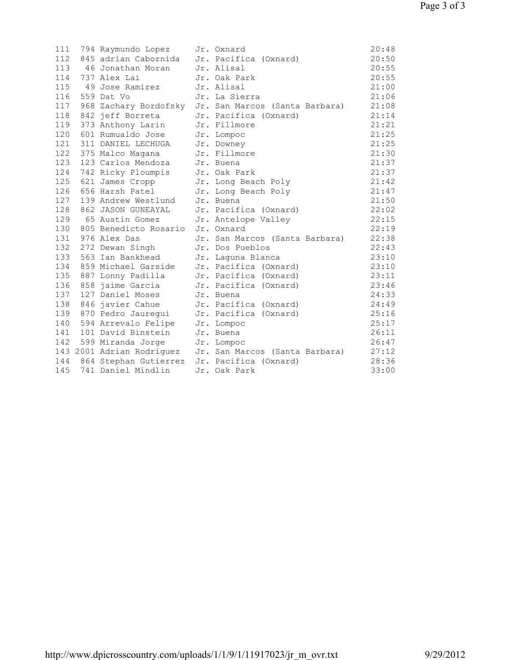| 111 | 794 Raymundo Lopez                              | Jr. Oxnard                                               | 20:48 |
|-----|-------------------------------------------------|----------------------------------------------------------|-------|
| 112 | 845 adrian Cabornida Jr. Pacifica (Oxnard)      |                                                          | 20:50 |
| 113 | 46 Jonathan Moran                               | Jr. Alisal                                               | 20:55 |
| 114 | 737 Alex Lai                                    | Jr. Oak Park                                             | 20:55 |
| 115 | 49 Jose Ramirez                                 | Jr. Alisal                                               | 21:00 |
| 116 | 559 Dat Vo                                      | Jr. La Sierra                                            | 21:06 |
| 117 |                                                 | 968 Zachary Bordofsky Jr. San Marcos (Santa Barbara)     | 21:08 |
| 118 | 842 jeff Borreta                                | Jr. Pacifica (Oxnard)                                    | 21:14 |
| 119 | 373 Anthony Larin                               | Jr. Fillmore                                             | 21:21 |
| 120 | 601 Rumualdo Jose                               | Jr. Lompoc                                               | 21:25 |
| 121 | 311 DANIEL LECHUGA                              | Jr. Downey                                               | 21:25 |
| 122 | 375 Malco Magana                                | Jr. Fillmore                                             | 21:30 |
| 123 | 123 Carlos Mendoza                              | Jr. Buena                                                | 21:37 |
|     | 124 742 Ricky Ploumpis                          | Jr. Oak Park                                             | 21:37 |
| 125 | 621 James Cropp                                 | Jr. Long Beach Poly                                      | 21:42 |
| 126 | 656 Harsh Patel                                 | Jr. Long Beach Poly                                      | 21:47 |
| 127 | 139 Andrew Westlund                             | Jr. Buena                                                | 21:50 |
| 128 | 862 JASON GUNEAYAL                              | Jr. Pacifica (Oxnard)                                    | 22:02 |
| 129 | 65 Austin Gomez                                 | Jr. Antelope Valley                                      | 22:15 |
|     | 130 805 Benedicto Rosario Jr. Oxnard            |                                                          | 22:19 |
|     | 131 976 Alex Das                                | Jr. San Marcos (Santa Barbara)                           | 22:38 |
|     | 132 272 Dewan Singh                             | Jr. Dos Pueblos                                          | 22:43 |
| 133 | 563 Ian Bankhead                                | Jr. Laquna Blanca                                        | 23:10 |
| 134 | 859 Michael Garside                             | Jr. Pacifica (Oxnard)                                    | 23:10 |
| 135 | 887 Lonny Padilla                               | Jr. Pacifica (Oxnard)                                    | 23:11 |
| 136 | 858 jaime Garcia                                | Jr. Pacifica (Oxnard)                                    | 23:46 |
| 137 | 127 Daniel Moses                                | Jr. Buena                                                | 24:33 |
| 138 | 846 javier Cahue                                | Jr. Pacifica (Oxnard)                                    | 24:49 |
|     | 139 870 Pedro Jauregui                          | Jr. Pacifica (Oxnard)                                    | 25:16 |
| 140 | 594 Arrevalo Felipe                             | Jr. Lompoc                                               | 25:17 |
| 141 | 101 David Binstein                              | Jr. Buena                                                | 26:11 |
| 142 | 599 Miranda Jorge Jr. Lompoc                    |                                                          | 26:47 |
|     |                                                 | 143 2001 Adrian Rodriquez Jr. San Marcos (Santa Barbara) | 27:12 |
|     | 144 864 Stephan Gutierrez Jr. Pacifica (Oxnard) |                                                          | 28:36 |
| 145 | 741 Daniel Mindlin                              | Jr. Oak Park                                             | 33:00 |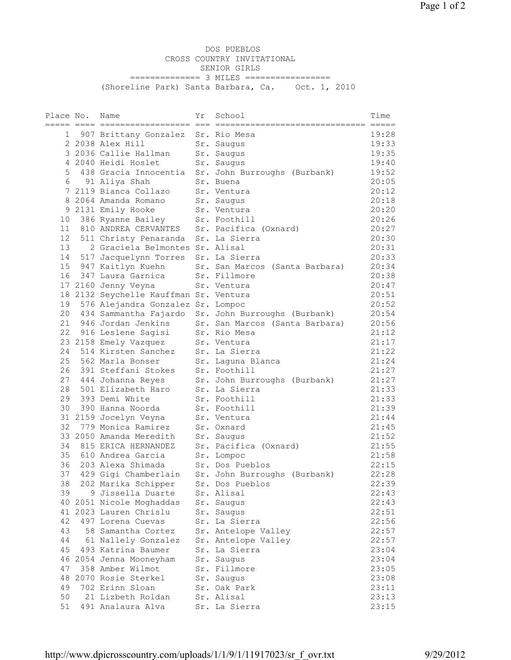DOS PUEBLOS CROSS COUNTRY INVITATIONAL SENIOR GIRLS =============== 3 MILES ================= (Shoreline Park) Santa Barbara, Ca. Oct. 1, 2010

| Sr. Rio Mesa<br>1<br>907 Brittany Gonzalez<br>2 2038 Alex Hill<br>Sr. Saugus | 19:28<br>19:33 |
|------------------------------------------------------------------------------|----------------|
|                                                                              |                |
|                                                                              |                |
|                                                                              |                |
| 3 2036 Callie Hallman<br>Sr. Saugus                                          | 19:35          |
| 4 2040 Heidi Hoslet<br>Sr. Saugus                                            | 19:40          |
| 5<br>438 Gracia Innocentia<br>Sr. John Burroughs (Burbank)                   | 19:52          |
| 6<br>91 Aliya Shah<br>Sr. Buena                                              | 20:05          |
| 7 2119 Bianca Collazo<br>Sr. Ventura                                         | 20:12          |
| 8 2064 Amanda Romano<br>Sr. Saugus                                           | 20:18          |
| 9 2131 Emily Hooke<br>Sr. Ventura                                            | 20:20          |
| 386 Ryanne Bailey<br>Sr. Foothill<br>10                                      | 20:26          |
| 810 ANDREA CERVANTES<br>11<br>Sr. Pacifica (Oxnard)                          | 20:27          |
| Sr. La Sierra<br>12 <sup>2</sup><br>511 Christy Penaranda                    | 20:30          |
| 2 Graciela Belmontes Sr. Alisal<br>13                                        | 20:31          |
| 14<br>517 Jacquelynn Torres<br>Sr. La Sierra                                 | 20:33          |
| 15 947 Kaitlyn Kuehn<br>Sr. San Marcos (Santa Barbara)                       | 20:34          |
| 347 Laura Garnica<br>Sr. Fillmore<br>16                                      | 20:38          |
| Sr. Ventura<br>17 2160 Jenny Veyna                                           | 20:47          |
| 18 2132 Seychelle Kauffman Sr. Ventura                                       | 20:51          |
| 576 Alejandra Gonzalez Sr. Lompoc<br>19                                      | 20:52          |
| 20 434 Sammantha Fajardo<br>Sr. John Burroughs (Burbank)                     | 20:54          |
| 21 946 Jordan Jenkins<br>Sr. San Marcos (Santa Barbara)                      | 20:56          |
| 22 916 Leslene Sagisi<br>Sr. Rio Mesa                                        | 21:12          |
| 23 2158 Emely Vazquez<br>Sr. Ventura                                         | 21:17          |
| 24 514 Kirsten Sanchez<br>Sr. La Sierra                                      | 21:22          |
| 25<br>562 Marla Bonser<br>Sr. Laguna Blanca                                  | 21:24          |
| 391 Steffani Stokes<br>Sr. Foothill<br>26                                    | 21:27          |
| 27 444 Johanna Reyes<br>Sr. John Burroughs (Burbank)                         | 21:27          |
| 501 Elizabeth Haro<br>Sr. La Sierra<br>28                                    | 21:33          |
| 29<br>393 Demi White<br>Sr. Foothill                                         | 21:33          |
| 30<br>390 Hanna Noorda<br>Sr. Foothill                                       | 21:39          |
| 31 2159 Jocelyn Veyna<br>Sr. Ventura                                         | 21:44          |
| 32<br>779 Monica Ramirez<br>Sr. Oxnard                                       | 21:45          |
| 33 2050 Amanda Meredith<br>Sr. Saugus                                        | 21:52          |
| Sr. Pacifica (Oxnard)<br>34 815 ERICA HERNANDEZ                              | 21:55          |
| 35<br>610 Andrea Garcia<br>Sr. Lompoc                                        | 21:58          |
| Sr. Dos Pueblos<br>36<br>203 Alexa Shimada                                   | 22:15          |
| 429 Gigi Chamberlain<br>37<br>Sr. John Burroughs (Burbank)                   | 22:28          |
| 38 -<br>202 Marika Schipper<br>Sr. Dos Pueblos                               | 22:39          |
| 39 —<br>9 Jissella Duarte<br>Sr. Alisal                                      | 22:43          |
| 40 2051 Nicole Moghaddas<br>Sr. Saugus                                       | 22:43          |
| 41 2023 Lauren Chrislu<br>Sr. Saugus                                         | 22:51          |
| 42<br>Sr. La Sierra<br>497 Lorena Cuevas                                     | 22:56          |
| 43<br>58 Samantha Cortez<br>Sr. Antelope Valley                              | 22:57          |
| 44<br>61 Nallely Gonzalez<br>Sr. Antelope Valley                             | 22:57          |
| 45<br>493 Katrina Baumer<br>Sr. La Sierra                                    | 23:04          |
| 46 2054 Jenna Mooneyham<br>Sr. Saugus                                        | 23:04          |
| 358 Amber Wilmot<br>Sr. Fillmore<br>47                                       | 23:05          |
| 48 2070 Rosie Sterkel<br>Sr. Saugus                                          | 23:08          |
| 702 Erinn Sloan<br>49<br>Sr. Oak Park                                        | 23:11          |
| 50<br>21 Lizbeth Roldan<br>Sr. Alisal                                        | 23:13          |
| 51<br>491 Analaura Alva<br>Sr. La Sierra                                     | 23:15          |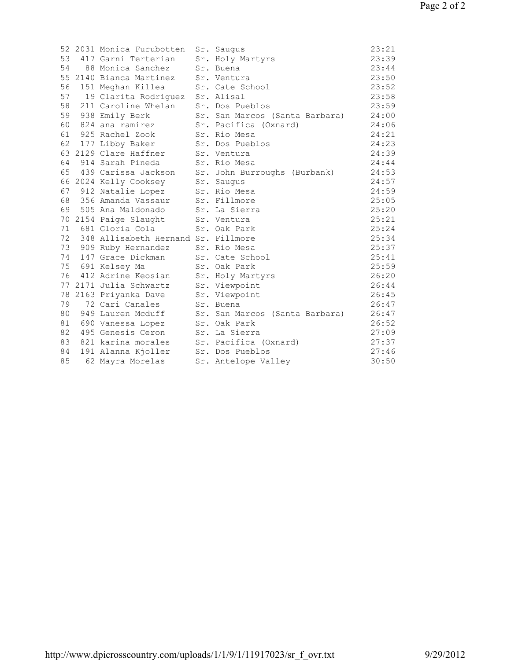|    | 52 2031 Monica Furubotten              | Sr. Saugus                     | 23:21 |
|----|----------------------------------------|--------------------------------|-------|
| 53 | 417 Garni Terterian                    | Sr. Holy Martyrs               | 23:39 |
| 54 | 88 Monica Sanchez                      | Sr. Buena                      | 23:44 |
|    | 55 2140 Bianca Martinez                | Sr. Ventura                    | 23:50 |
|    | 56 151 Meghan Killea                   | Sr. Cate School                | 23:52 |
|    | 57 19 Clarita Rodriguez Sr. Alisal     |                                | 23:58 |
| 58 | 211 Caroline Whelan                    | Sr. Dos Pueblos                | 23:59 |
|    | 59 938 Emily Berk                      | Sr. San Marcos (Santa Barbara) | 24:00 |
|    | 60 824 ana ramirez                     | Sr. Pacifica (Oxnard)          | 24:06 |
|    | 61 925 Rachel Zook                     | Sr. Rio Mesa                   | 24:21 |
|    | 62 177 Libby Baker                     | Sr. Dos Pueblos                | 24:23 |
|    | 63 2129 Clare Haffner                  | Sr. Ventura                    | 24:39 |
|    | 64 914 Sarah Pineda                    | Sr. Rio Mesa                   | 24:44 |
| 65 | 439 Carissa Jackson                    | Sr. John Burroughs (Burbank)   | 24:53 |
|    | 66 2024 Kelly Cooksey                  | Sr. Saugus                     | 24:57 |
|    | 67 912 Natalie Lopez                   | Sr. Rio Mesa                   | 24:59 |
|    | 68 356 Amanda Vassaur                  | Sr. Fillmore                   | 25:05 |
|    | 69 505 Ana Maldonado                   | Sr. La Sierra                  | 25:20 |
|    | 70 2154 Paige Slaught                  | Sr. Ventura                    | 25:21 |
|    | 71 681 Gloria Cola                     | Sr. Oak Park                   | 25:24 |
|    | 72 348 Allisabeth Hernand Sr. Fillmore |                                | 25:34 |
|    | 73 909 Ruby Hernandez                  | Sr. Rio Mesa                   | 25:37 |
|    | 74 147 Grace Dickman                   | Sr. Cate School                | 25:41 |
|    | 75 691 Kelsey Ma                       | Sr. Oak Park                   | 25:59 |
|    | 76 412 Adrine Keosian                  | Sr. Holy Martyrs               | 26:20 |
|    | 77 2171 Julia Schwartz                 | Sr. Viewpoint                  | 26:44 |
|    | 78 2163 Priyanka Dave                  | Sr. Viewpoint                  | 26:45 |
|    | 79 72 Cari Canales                     | Sr. Buena                      | 26:47 |
| 80 | 949 Lauren Mcduff                      | Sr. San Marcos (Santa Barbara) | 26:47 |
| 81 | 690 Vanessa Lopez                      | Sr. Oak Park                   | 26:52 |
| 82 | 495 Genesis Ceron                      | Sr. La Sierra                  | 27:09 |
| 83 | 821 karina morales                     | Sr. Pacifica (Oxnard)          | 27:37 |
| 84 | 191 Alanna Kjoller                     | Sr. Dos Pueblos                | 27:46 |
| 85 | 62 Mayra Morelas                       | Sr. Antelope Valley            | 30:50 |
|    |                                        |                                |       |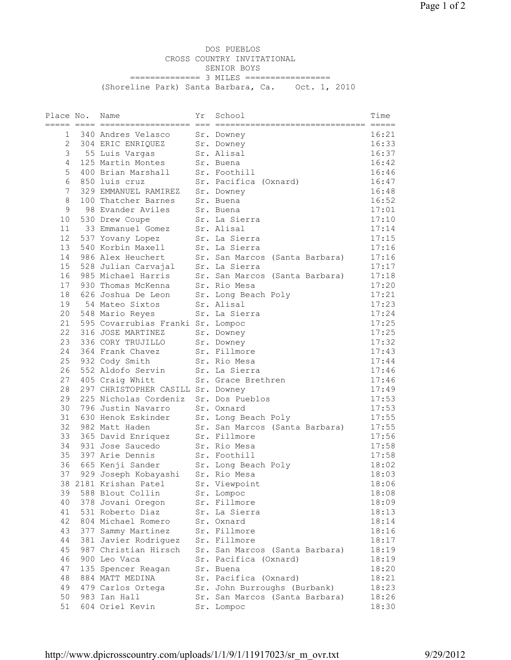DOS PUEBLOS CROSS COUNTRY INVITATIONAL SENIOR BOYS =============== 3 MILES ================= (Shoreline Park) Santa Barbara, Ca. Oct. 1, 2010

| Place No.       | Name                                | Υr | School                         | Time          |
|-----------------|-------------------------------------|----|--------------------------------|---------------|
|                 |                                     |    |                                | ======= ===== |
| $\mathbf{1}$    | 340 Andres Velasco                  |    | Sr. Downey                     | 16:21         |
| 2               | 304 ERIC ENRIQUEZ                   |    | Sr. Downey                     | 16:33         |
| 3               | 55 Luis Vargas                      |    | Sr. Alisal                     | 16:37         |
| 4               | 125 Martin Montes                   |    | Sr. Buena                      | 16:42         |
| 5               | 400 Brian Marshall                  |    | Sr. Foothill                   | 16:46         |
| 6               | 850 luis cruz                       |    | Sr. Pacifica (Oxnard)          | 16:47         |
| 7               | 329 EMMANUEL RAMIREZ                |    | Sr. Downey                     | 16:48         |
| 8               | 100 Thatcher Barnes                 |    | Sr. Buena                      | 16:52         |
| 9               | 98 Evander Aviles                   |    | Sr. Buena                      | 17:01         |
| 10              | 530 Drew Coupe                      |    | Sr. La Sierra                  | 17:10         |
| 11              | 33 Emmanuel Gomez                   |    | Sr. Alisal                     | 17:14         |
| 12 <sup>°</sup> | 537 Yovany Lopez                    |    | Sr. La Sierra                  | 17:15         |
| 13              | 540 Korbin Maxell                   |    | Sr. La Sierra                  | 17:16         |
| 14              | 986 Alex Heuchert                   |    | Sr. San Marcos (Santa Barbara) | 17:16         |
| 15 <sub>1</sub> | 528 Julian Carvajal                 |    | Sr. La Sierra                  | 17:17         |
| 16              | 985 Michael Harris                  |    | Sr. San Marcos (Santa Barbara) | 17:18         |
| 17              | 930 Thomas McKenna                  |    | Sr. Rio Mesa                   | 17:20         |
| 18              | 626 Joshua De Leon                  |    | Sr. Long Beach Poly            | 17:21         |
| 19              | 54 Mateo Sixtos                     |    | Sr. Alisal                     | 17:23         |
| 20              | 548 Mario Reyes                     |    | Sr. La Sierra                  | 17:24         |
| 21              | 595 Covarrubias Franki Sr. Lompoc   |    |                                | 17:25         |
| 22              | 316 JOSE MARTINEZ                   |    | Sr. Downey                     | 17:25         |
| 23              | 336 CORY TRUJILLO                   |    | Sr. Downey                     | 17:32         |
| 24              | 364 Frank Chavez                    |    | Sr. Fillmore                   | 17:43         |
| 25              | 932 Cody Smith                      |    | Sr. Rio Mesa                   | 17:44         |
| 26              | 552 Aldofo Servin                   |    | Sr. La Sierra                  | 17:46         |
| 27              | 405 Craig Whitt                     |    | Sr. Grace Brethren             | 17:46         |
| 28              | 297 CHRISTOPHER CASILL Sr. Downey   |    |                                | 17:49         |
| 29              | 225 Nicholas Cordeniz               |    | Sr. Dos Pueblos                | 17:53         |
| 30              | 796 Justin Navarro                  |    | Sr. Oxnard                     | 17:53         |
| 31              | 630 Henok Eskinder                  |    | Sr. Long Beach Poly            | 17:55         |
| 32              | 982 Matt Haden                      |    | Sr. San Marcos (Santa Barbara) | 17:55         |
| 33              | 365 David Enriquez                  |    | Sr. Fillmore                   | 17:56         |
| 34              | 931 Jose Saucedo                    |    | Sr. Rio Mesa                   | 17:58         |
| 35              | 397 Arie Dennis                     |    | Sr. Foothill                   | 17:58         |
| 36              | 665 Kenji Sander                    |    | Sr. Long Beach Poly            | 18:02         |
| 37              | 929 Joseph Kobayashi Sr. Rio Mesa   |    |                                | 18:03         |
|                 | 38 2181 Krishan Patel Sr. Viewpoint |    |                                | 18:06         |
| 39              | 588 Blout Collin                    |    | Sr. Lompoc                     | 18:08         |
| 40              | 378 Jovani Oregon                   |    | Sr. Fillmore                   | 18:09         |
| 41              | 531 Roberto Diaz                    |    | Sr. La Sierra                  | 18:13         |
| 42              | 804 Michael Romero                  |    | Sr. Oxnard                     | 18:14         |
| 43              | 377 Sammy Martinez                  |    | Sr. Fillmore                   | 18:16         |
| 44              | 381 Javier Rodriguez                |    | Sr. Fillmore                   | 18:17         |
| 45              | 987 Christian Hirsch                |    | Sr. San Marcos (Santa Barbara) | 18:19         |
| 46              | 900 Leo Vaca                        |    | Sr. Pacifica (Oxnard)          | 18:19         |
| 47              | 135 Spencer Reagan                  |    | Sr. Buena                      | 18:20         |
| 48              | 884 MATT MEDINA                     |    | Sr. Pacifica (Oxnard)          | 18:21         |
| 49              | 479 Carlos Ortega                   |    | Sr. John Burroughs (Burbank)   | 18:23         |
| 50              | 983 Ian Hall                        |    | Sr. San Marcos (Santa Barbara) | 18:26         |
| 51              | 604 Oriel Kevin                     |    | Sr. Lompoc                     | 18:30         |